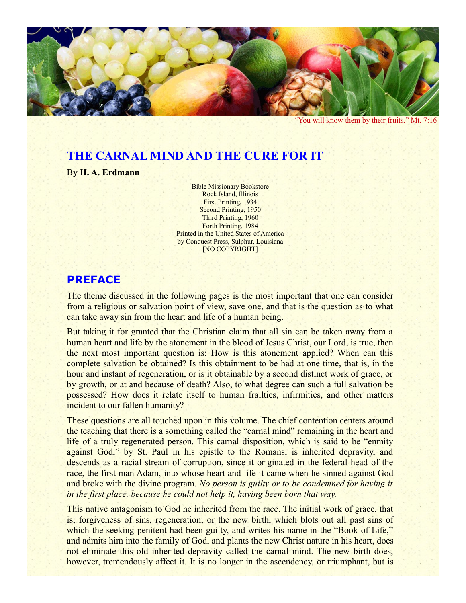

"You will know them by their fruits." Mt. 7:16

# **THE CARNAL MIND AND THE CURE FOR IT**

By **H. A. Erdmann**

Bible Missionary Bookstore Rock Island, Illinois First Printing, 1934 Second Printing, 1950 Third Printing, 1960 Forth Printing, 1984 Printed in the United States of America by Conquest Press, Sulphur, Louisiana [NO COPYRIGHT]

#### **PREFACE**

The theme discussed in the following pages is the most important that one can consider from a religious or salvation point of view, save one, and that is the question as to what can take away sin from the heart and life of a human being.

But taking it for granted that the Christian claim that all sin can be taken away from a human heart and life by the atonement in the blood of Jesus Christ, our Lord, is true, then the next most important question is: How is this atonement applied? When can this complete salvation be obtained? Is this obtainment to be had at one time, that is, in the hour and instant of regeneration, or is it obtainable by a second distinct work of grace, or by growth, or at and because of death? Also, to what degree can such a full salvation be possessed? How does it relate itself to human frailties, infirmities, and other matters incident to our fallen humanity?

These questions are all touched upon in this volume. The chief contention centers around the teaching that there is a something called the "carnal mind" remaining in the heart and life of a truly regenerated person. This carnal disposition, which is said to be "enmity against God," by St. Paul in his epistle to the Romans, is inherited depravity, and descends as a racial stream of corruption, since it originated in the federal head of the race, the first man Adam, into whose heart and life it came when he sinned against God and broke with the divine program. *No person is guilty or to be condemned for having it in the first place, because he could not help it, having been born that way.*

This native antagonism to God he inherited from the race. The initial work of grace, that is, forgiveness of sins, regeneration, or the new birth, which blots out all past sins of which the seeking penitent had been guilty, and writes his name in the "Book of Life," and admits him into the family of God, and plants the new Christ nature in his heart, does not eliminate this old inherited depravity called the carnal mind. The new birth does, however, tremendously affect it. It is no longer in the ascendency, or triumphant, but is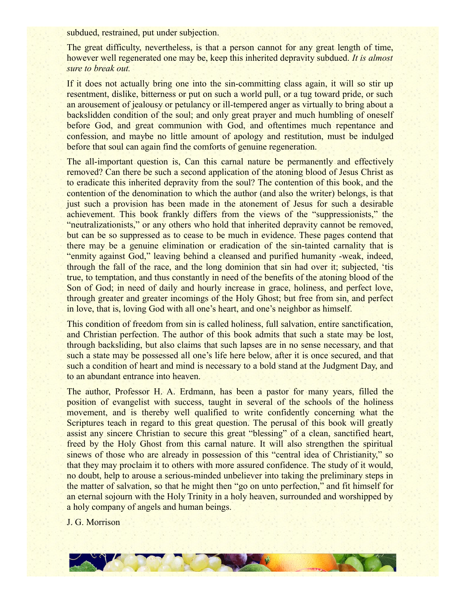subdued, restrained, put under subjection.

The great difficulty, nevertheless, is that a person cannot for any great length of time, however well regenerated one may be, keep this inherited depravity subdued. *It is almost sure to break out.*

If it does not actually bring one into the sin-committing class again, it will so stir up resentment, dislike, bitterness or put on such a world pull, or a tug toward pride, or such an arousement of jealousy or petulancy or ill-tempered anger as virtually to bring about a backslidden condition of the soul; and only great prayer and much humbling of oneself before God, and great communion with God, and oftentimes much repentance and confession, and maybe no little amount of apology and restitution, must be indulged before that soul can again find the comforts of genuine regeneration.

The all-important question is, Can this carnal nature be permanently and effectively removed? Can there be such a second application of the atoning blood of Jesus Christ as to eradicate this inherited depravity from the soul? The contention of this book, and the contention of the denomination to which the author (and also the writer) belongs, is that just such a provision has been made in the atonement of Jesus for such a desirable achievement. This book frankly differs from the views of the "suppressionists," the "neutralizationists," or any others who hold that inherited depravity cannot be removed, but can be so suppressed as to cease to be much in evidence. These pages contend that there may be a genuine elimination or eradication of the sin-tainted carnality that is "enmity against God," leaving behind a cleansed and purified humanity -weak, indeed, through the fall of the race, and the long dominion that sin had over it; subjected, 'tis true, to temptation, and thus constantly in need of the benefits of the atoning blood of the Son of God; in need of daily and hourly increase in grace, holiness, and perfect love, through greater and greater incomings of the Holy Ghost; but free from sin, and perfect in love, that is, loving God with all one's heart, and one's neighbor as himself.

This condition of freedom from sin is called holiness, full salvation, entire sanctification, and Christian perfection. The author of this book admits that such a state may be lost, through backsliding, but also claims that such lapses are in no sense necessary, and that such a state may be possessed all one's life here below, after it is once secured, and that such a condition of heart and mind is necessary to a bold stand at the Judgment Day, and to an abundant entrance into heaven.

The author, Professor H. A. Erdmann, has been a pastor for many years, filled the position of evangelist with success, taught in several of the schools of the holiness movement, and is thereby well qualified to write confidently concerning what the Scriptures teach in regard to this great question. The perusal of this book will greatly assist any sincere Christian to secure this great "blessing" of a clean, sanctified heart, freed by the Holy Ghost from this carnal nature. It will also strengthen the spiritual sinews of those who are already in possession of this "central idea of Christianity," so that they may proclaim it to others with more assured confidence. The study of it would, no doubt, help to arouse a serious-minded unbeliever into taking the preliminary steps in the matter of salvation, so that he might then "go on unto perfection," and fit himself for an eternal sojourn with the Holy Trinity in a holy heaven, surrounded and worshipped by a holy company of angels and human beings.

J. G. Morrison

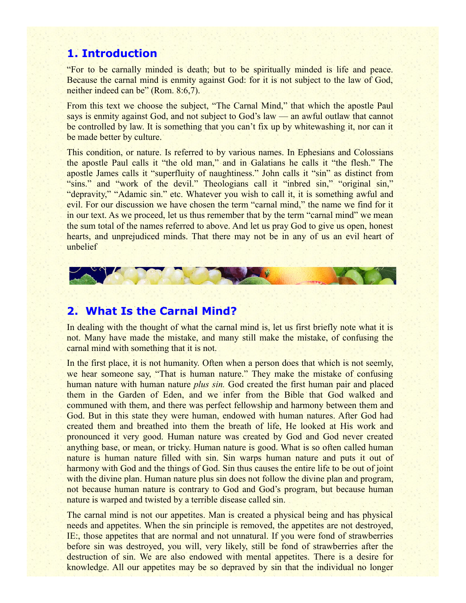# **1. Introduction**

"For to be carnally minded is death; but to be spiritually minded is life and peace. Because the carnal mind is enmity against God: for it is not subject to the law of God, neither indeed can be" (Rom. 8:6,7).

From this text we choose the subject, "The Carnal Mind," that which the apostle Paul says is enmity against God, and not subject to God's law — an awful outlaw that cannot be controlled by law. It is something that you can't fix up by whitewashing it, nor can it be made better by culture.

This condition, or nature. Is referred to by various names. In Ephesians and Colossians the apostle Paul calls it "the old man," and in Galatians he calls it "the flesh." The apostle James calls it "superfluity of naughtiness." John calls it "sin" as distinct from "sins." and "work of the devil." Theologians call it "inbred sin," "original sin," "depravity," "Adamic sin." etc. Whatever you wish to call it, it is something awful and evil. For our discussion we have chosen the term "carnal mind," the name we find for it in our text. As we proceed, let us thus remember that by the term "carnal mind" we mean the sum total of the names referred to above. And let us pray God to give us open, honest hearts, and unprejudiced minds. That there may not be in any of us an evil heart of unbelief



## **2. What Is the Carnal Mind?**

In dealing with the thought of what the carnal mind is, let us first briefly note what it is not. Many have made the mistake, and many still make the mistake, of confusing the carnal mind with something that it is not.

In the first place, it is not humanity. Often when a person does that which is not seemly, we hear someone say, "That is human nature." They make the mistake of confusing human nature with human nature *plus sin.* God created the first human pair and placed them in the Garden of Eden, and we infer from the Bible that God walked and communed with them, and there was perfect fellowship and harmony between them and God. But in this state they were human, endowed with human natures. After God had created them and breathed into them the breath of life, He looked at His work and pronounced it very good. Human nature was created by God and God never created anything base, or mean, or tricky. Human nature is good. What is so often called human nature is human nature filled with sin. Sin warps human nature and puts it out of harmony with God and the things of God. Sin thus causes the entire life to be out of joint with the divine plan. Human nature plus sin does not follow the divine plan and program, not because human nature is contrary to God and God's program, but because human nature is warped and twisted by a terrible disease called sin.

The carnal mind is not our appetites. Man is created a physical being and has physical needs and appetites. When the sin principle is removed, the appetites are not destroyed, IE:, those appetites that are normal and not unnatural. If you were fond of strawberries before sin was destroyed, you will, very likely, still be fond of strawberries after the destruction of sin. We are also endowed with mental appetites. There is a desire for knowledge. All our appetites may be so depraved by sin that the individual no longer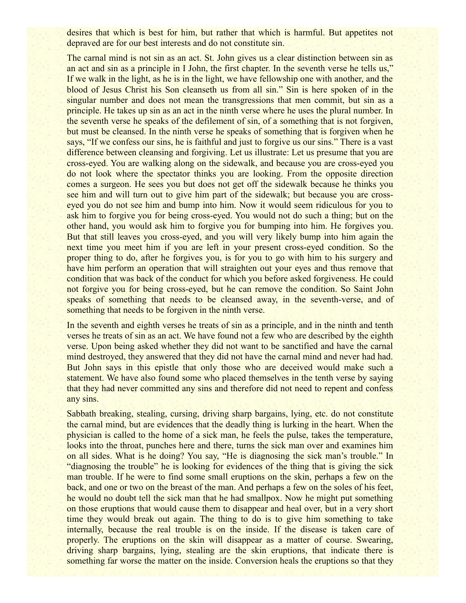desires that which is best for him, but rather that which is harmful. But appetites not depraved are for our best interests and do not constitute sin.

The carnal mind is not sin as an act. St. John gives us a clear distinction between sin as an act and sin as a principle in I John, the first chapter. In the seventh verse he tells us," If we walk in the light, as he is in the light, we have fellowship one with another, and the blood of Jesus Christ his Son cleanseth us from all sin." Sin is here spoken of in the singular number and does not mean the transgressions that men commit, but sin as a principle. He takes up sin as an act in the ninth verse where he uses the plural number. In the seventh verse he speaks of the defilement of sin, of a something that is not forgiven, but must be cleansed. In the ninth verse he speaks of something that is forgiven when he says, "If we confess our sins, he is faithful and just to forgive us our sins." There is a vast difference between cleansing and forgiving. Let us illustrate: Let us presume that you are cross-eyed. You are walking along on the sidewalk, and because you are cross-eyed you do not look where the spectator thinks you are looking. From the opposite direction comes a surgeon. He sees you but does not get off the sidewalk because he thinks you see him and will turn out to give him part of the sidewalk; but because you are crosseyed you do not see him and bump into him. Now it would seem ridiculous for you to ask him to forgive you for being cross-eyed. You would not do such a thing; but on the other hand, you would ask him to forgive you for bumping into him. He forgives you. But that still leaves you cross-eyed, and you will very likely bump into him again the next time you meet him if you are left in your present cross-eyed condition. So the proper thing to do, after he forgives you, is for you to go with him to his surgery and have him perform an operation that will straighten out your eyes and thus remove that condition that was back of the conduct for which you before asked forgiveness. He could not forgive you for being cross-eyed, but he can remove the condition. So Saint John speaks of something that needs to be cleansed away, in the seventh-verse, and of something that needs to be forgiven in the ninth verse.

In the seventh and eighth verses he treats of sin as a principle, and in the ninth and tenth verses he treats of sin as an act. We have found not a few who are described by the eighth verse. Upon being asked whether they did not want to be sanctified and have the carnal mind destroyed, they answered that they did not have the carnal mind and never had had. But John says in this epistle that only those who are deceived would make such a statement. We have also found some who placed themselves in the tenth verse by saying that they had never committed any sins and therefore did not need to repent and confess any sins.

Sabbath breaking, stealing, cursing, driving sharp bargains, lying, etc. do not constitute the carnal mind, but are evidences that the deadly thing is lurking in the heart. When the physician is called to the home of a sick man, he feels the pulse, takes the temperature, looks into the throat, punches here and there, turns the sick man over and examines him on all sides. What is he doing? You say, "He is diagnosing the sick man's trouble." In "diagnosing the trouble" he is looking for evidences of the thing that is giving the sick man trouble. If he were to find some small eruptions on the skin, perhaps a few on the back, and one or two on the breast of the man. And perhaps a few on the soles of his feet, he would no doubt tell the sick man that he had smallpox. Now he might put something on those eruptions that would cause them to disappear and heal over, but in a very short time they would break out again. The thing to do is to give him something to take internally, because the real trouble is on the inside. If the disease is taken care of properly. The eruptions on the skin will disappear as a matter of course. Swearing, driving sharp bargains, lying, stealing are the skin eruptions, that indicate there is something far worse the matter on the inside. Conversion heals the eruptions so that they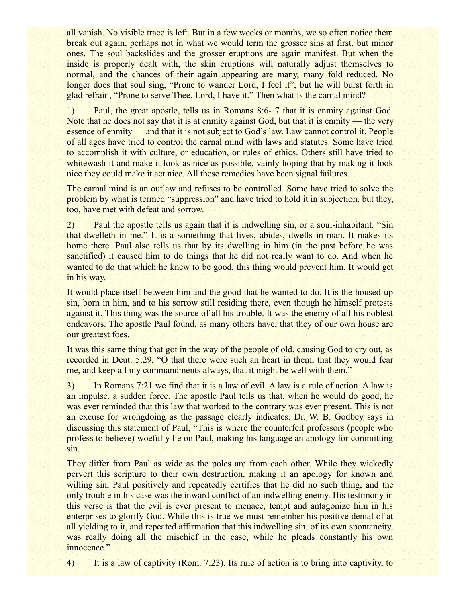all vanish. No visible trace is left. But in a few weeks or months, we so often notice them break out again, perhaps not in what we would term the grosser sins at first, but minor ones. The soul backslides and the grosser eruptions are again manifest. But when the inside is properly dealt with, the skin eruptions will naturally adjust themselves to normal, and the chances of their again appearing are many, many fold reduced. No longer does that soul sing, "Prone to wander Lord, I feel it"; but he will burst forth in glad refrain, "Prone to serve Thee, Lord, I have it." Then what is the carnal mind?

1) Paul, the great apostle, tells us in Romans 8:6- 7 that it is enmity against God. Note that he does not say that it is at enmity against God, but that it is enmity — the very essence of enmity — and that it is not subject to God's law. Law cannot control it. People of all ages have tried to control the carnal mind with laws and statutes. Some have tried to accomplish it with culture, or education, or rules of ethics. Others still have tried to whitewash it and make it look as nice as possible, vainly hoping that by making it look nice they could make it act nice. All these remedies have been signal failures.

The carnal mind is an outlaw and refuses to be controlled. Some have tried to solve the problem by what is termed "suppression" and have tried to hold it in subjection, but they, too, have met with defeat and sorrow.

2) Paul the apostle tells us again that it is indwelling sin, or a soul-inhabitant. "Sin that dwelleth in me." It is a something that lives, abides, dwells in man. It makes its home there. Paul also tells us that by its dwelling in him (in the past before he was sanctified) it caused him to do things that he did not really want to do. And when he wanted to do that which he knew to be good, this thing would prevent him. It would get in his way.

It would place itself between him and the good that he wanted to do. It is the housed-up sin, born in him, and to his sorrow still residing there, even though he himself protests against it. This thing was the source of all his trouble. It was the enemy of all his noblest endeavors. The apostle Paul found, as many others have, that they of our own house are our greatest foes.

It was this same thing that got in the way of the people of old, causing God to cry out, as recorded in Deut. 5:29, "O that there were such an heart in them, that they would fear me, and keep all my commandments always, that it might be well with them."

3) In Romans 7:21 we find that it is a law of evil. A law is a rule of action. A law is an impulse, a sudden force. The apostle Paul tells us that, when he would do good, he was ever reminded that this law that worked to the contrary was ever present. This is not an excuse for wrongdoing as the passage clearly indicates. Dr. W. B. Godbey says in discussing this statement of Paul, "This is where the counterfeit professors (people who profess to believe) woefully lie on Paul, making his language an apology for committing sin.

They differ from Paul as wide as the poles are from each other. While they wickedly pervert this scripture to their own destruction, making it an apology for known and willing sin, Paul positively and repeatedly certifies that he did no such thing, and the only trouble in his case was the inward conflict of an indwelling enemy. His testimony in this verse is that the evil is ever present to menace, tempt and antagonize him in his enterprises to glorify God. While this is true we must remember his positive denial of at all yielding to it, and repeated affirmation that this indwelling sin, of its own spontaneity, was really doing all the mischief in the case, while he pleads constantly his own innocence."

4) It is a law of captivity (Rom. 7:23). Its rule of action is to bring into captivity, to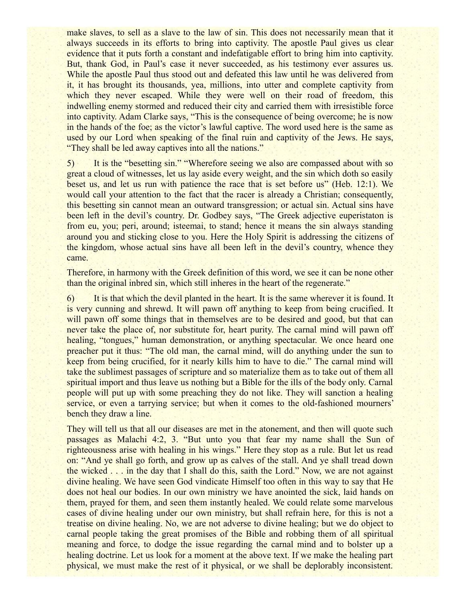make slaves, to sell as a slave to the law of sin. This does not necessarily mean that it always succeeds in its efforts to bring into captivity. The apostle Paul gives us clear evidence that it puts forth a constant and indefatigable effort to bring him into captivity. But, thank God, in Paul's case it never succeeded, as his testimony ever assures us. While the apostle Paul thus stood out and defeated this law until he was delivered from it, it has brought its thousands, yea, millions, into utter and complete captivity from which they never escaped. While they were well on their road of freedom, this indwelling enemy stormed and reduced their city and carried them with irresistible force into captivity. Adam Clarke says, "This is the consequence of being overcome; he is now in the hands of the foe; as the victor's lawful captive. The word used here is the same as used by our Lord when speaking of the final ruin and captivity of the Jews. He says, "They shall be led away captives into all the nations."

5) It is the "besetting sin." "Wherefore seeing we also are compassed about with so great a cloud of witnesses, let us lay aside every weight, and the sin which doth so easily beset us, and let us run with patience the race that is set before us" (Heb. 12:1). We would call your attention to the fact that the racer is already a Christian; consequently, this besetting sin cannot mean an outward transgression; or actual sin. Actual sins have been left in the devil's country. Dr. Godbey says, "The Greek adjective euperistaton is from eu, you; peri, around; isteemai, to stand; hence it means the sin always standing around you and sticking close to you. Here the Holy Spirit is addressing the citizens of the kingdom, whose actual sins have all been left in the devil's country, whence they came.

Therefore, in harmony with the Greek definition of this word, we see it can be none other than the original inbred sin, which still inheres in the heart of the regenerate."

6) It is that which the devil planted in the heart. It is the same wherever it is found. It is very cunning and shrewd. It will pawn off anything to keep from being crucified. It will pawn off some things that in themselves are to be desired and good, but that can never take the place of, nor substitute for, heart purity. The carnal mind will pawn off healing, "tongues," human demonstration, or anything spectacular. We once heard one preacher put it thus: "The old man, the carnal mind, will do anything under the sun to keep from being crucified, for it nearly kills him to have to die." The carnal mind will take the sublimest passages of scripture and so materialize them as to take out of them all spiritual import and thus leave us nothing but a Bible for the ills of the body only. Carnal people will put up with some preaching they do not like. They will sanction a healing service, or even a tarrying service; but when it comes to the old-fashioned mourners' bench they draw a line.

They will tell us that all our diseases are met in the atonement, and then will quote such passages as Malachi 4:2, 3. "But unto you that fear my name shall the Sun of righteousness arise with healing in his wings." Here they stop as a rule. But let us read on: "And ye shall go forth, and grow up as calves of the stall. And ye shall tread down the wicked . . . in the day that I shall do this, saith the Lord." Now, we are not against divine healing. We have seen God vindicate Himself too often in this way to say that He does not heal our bodies. In our own ministry we have anointed the sick, laid hands on them, prayed for them, and seen them instantly healed. We could relate some marvelous cases of divine healing under our own ministry, but shall refrain here, for this is not a treatise on divine healing. No, we are not adverse to divine healing; but we do object to carnal people taking the great promises of the Bible and robbing them of all spiritual meaning and force, to dodge the issue regarding the carnal mind and to bolster up a healing doctrine. Let us look for a moment at the above text. If we make the healing part physical, we must make the rest of it physical, or we shall be deplorably inconsistent.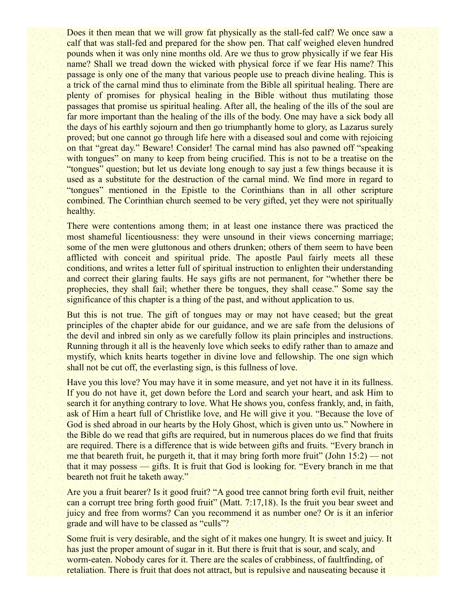Does it then mean that we will grow fat physically as the stall-fed calf? We once saw a calf that was stall-fed and prepared for the show pen. That calf weighed eleven hundred pounds when it was only nine months old. Are we thus to grow physically if we fear His name? Shall we tread down the wicked with physical force if we fear His name? This passage is only one of the many that various people use to preach divine healing. This is a trick of the carnal mind thus to eliminate from the Bible all spiritual healing. There are plenty of promises for physical healing in the Bible without thus mutilating those passages that promise us spiritual healing. After all, the healing of the ills of the soul are far more important than the healing of the ills of the body. One may have a sick body all the days of his earthly sojourn and then go triumphantly home to glory, as Lazarus surely proved; but one cannot go through life here with a diseased soul and come with rejoicing on that "great day." Beware! Consider! The carnal mind has also pawned off "speaking with tongues" on many to keep from being crucified. This is not to be a treatise on the "tongues" question; but let us deviate long enough to say just a few things because it is used as a substitute for the destruction of the carnal mind. We find more in regard to "tongues" mentioned in the Epistle to the Corinthians than in all other scripture combined. The Corinthian church seemed to be very gifted, yet they were not spiritually healthy.

There were contentions among them; in at least one instance there was practiced the most shameful licentiousness: they were unsound in their views concerning marriage; some of the men were gluttonous and others drunken; others of them seem to have been afflicted with conceit and spiritual pride. The apostle Paul fairly meets all these conditions, and writes a letter full of spiritual instruction to enlighten their understanding and correct their glaring faults. He says gifts are not permanent, for "whether there be prophecies, they shall fail; whether there be tongues, they shall cease." Some say the significance of this chapter is a thing of the past, and without application to us.

But this is not true. The gift of tongues may or may not have ceased; but the great principles of the chapter abide for our guidance, and we are safe from the delusions of the devil and inbred sin only as we carefully follow its plain principles and instructions. Running through it all is the heavenly love which seeks to edify rather than to amaze and mystify, which knits hearts together in divine love and fellowship. The one sign which shall not be cut off, the everlasting sign, is this fullness of love.

Have you this love? You may have it in some measure, and yet not have it in its fullness. If you do not have it, get down before the Lord and search your heart, and ask Him to search it for anything contrary to love. What He shows you, confess frankly, and, in faith, ask of Him a heart full of Christlike love, and He will give it you. "Because the love of God is shed abroad in our hearts by the Holy Ghost, which is given unto us." Nowhere in the Bible do we read that gifts are required, but in numerous places do we find that fruits are required. There is a difference that is wide between gifts and fruits. "Every branch in me that beareth fruit, he purgeth it, that it may bring forth more fruit" (John 15:2) — not that it may possess — gifts. It is fruit that God is looking for. "Every branch in me that beareth not fruit he taketh away."

Are you a fruit bearer? Is it good fruit? "A good tree cannot bring forth evil fruit, neither can a corrupt tree bring forth good fruit" (Matt. 7:17,18). Is the fruit you bear sweet and juicy and free from worms? Can you recommend it as number one? Or is it an inferior grade and will have to be classed as "culls"?

Some fruit is very desirable, and the sight of it makes one hungry. It is sweet and juicy. It has just the proper amount of sugar in it. But there is fruit that is sour, and scaly, and worm-eaten. Nobody cares for it. There are the scales of crabbiness, of faultfinding, of retaliation. There is fruit that does not attract, but is repulsive and nauseating because it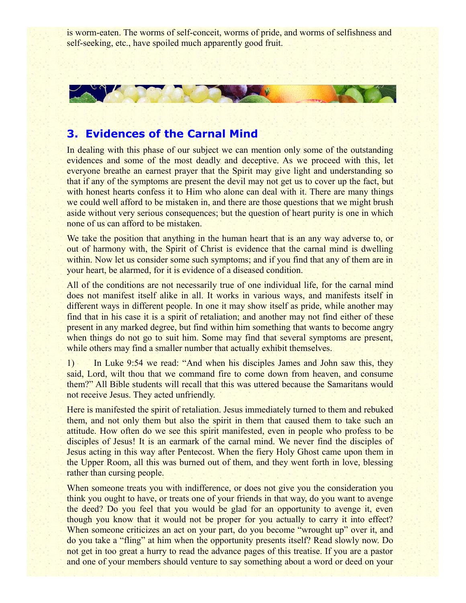is worm-eaten. The worms of self-conceit, worms of pride, and worms of selfishness and self-seeking, etc., have spoiled much apparently good fruit.



### **3. Evidences of the Carnal Mind**

In dealing with this phase of our subject we can mention only some of the outstanding evidences and some of the most deadly and deceptive. As we proceed with this, let everyone breathe an earnest prayer that the Spirit may give light and understanding so that if any of the symptoms are present the devil may not get us to cover up the fact, but with honest hearts confess it to Him who alone can deal with it. There are many things we could well afford to be mistaken in, and there are those questions that we might brush aside without very serious consequences; but the question of heart purity is one in which none of us can afford to be mistaken.

We take the position that anything in the human heart that is an any way adverse to, or out of harmony with, the Spirit of Christ is evidence that the carnal mind is dwelling within. Now let us consider some such symptoms; and if you find that any of them are in your heart, be alarmed, for it is evidence of a diseased condition.

All of the conditions are not necessarily true of one individual life, for the carnal mind does not manifest itself alike in all. It works in various ways, and manifests itself in different ways in different people. In one it may show itself as pride, while another may find that in his case it is a spirit of retaliation; and another may not find either of these present in any marked degree, but find within him something that wants to become angry when things do not go to suit him. Some may find that several symptoms are present, while others may find a smaller number that actually exhibit themselves.

1) In Luke 9:54 we read: "And when his disciples James and John saw this, they said, Lord, wilt thou that we command fire to come down from heaven, and consume them?" All Bible students will recall that this was uttered because the Samaritans would not receive Jesus. They acted unfriendly.

Here is manifested the spirit of retaliation. Jesus immediately turned to them and rebuked them, and not only them but also the spirit in them that caused them to take such an attitude. How often do we see this spirit manifested, even in people who profess to be disciples of Jesus! It is an earmark of the carnal mind. We never find the disciples of Jesus acting in this way after Pentecost. When the fiery Holy Ghost came upon them in the Upper Room, all this was burned out of them, and they went forth in love, blessing rather than cursing people.

When someone treats you with indifference, or does not give you the consideration you think you ought to have, or treats one of your friends in that way, do you want to avenge the deed? Do you feel that you would be glad for an opportunity to avenge it, even though you know that it would not be proper for you actually to carry it into effect? When someone criticizes an act on your part, do you become "wrought up" over it, and do you take a "fling" at him when the opportunity presents itself? Read slowly now. Do not get in too great a hurry to read the advance pages of this treatise. If you are a pastor and one of your members should venture to say something about a word or deed on your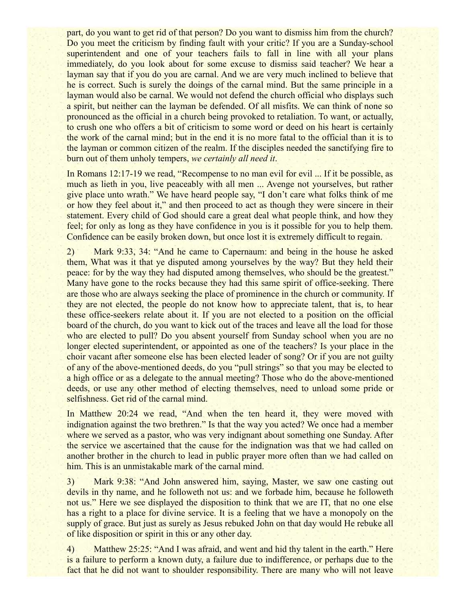part, do you want to get rid of that person? Do you want to dismiss him from the church? Do you meet the criticism by finding fault with your critic? If you are a Sunday-school superintendent and one of your teachers fails to fall in line with all your plans immediately, do you look about for some excuse to dismiss said teacher? We hear a layman say that if you do you are carnal. And we are very much inclined to believe that he is correct. Such is surely the doings of the carnal mind. But the same principle in a layman would also be carnal. We would not defend the church official who displays such a spirit, but neither can the layman be defended. Of all misfits. We can think of none so pronounced as the official in a church being provoked to retaliation. To want, or actually, to crush one who offers a bit of criticism to some word or deed on his heart is certainly the work of the carnal mind; but in the end it is no more fatal to the official than it is to the layman or common citizen of the realm. If the disciples needed the sanctifying fire to burn out of them unholy tempers, *we certainly all need it*.

In Romans 12:17-19 we read, "Recompense to no man evil for evil ... If it be possible, as much as lieth in you, live peaceably with all men ... Avenge not yourselves, but rather give place unto wrath." We have heard people say, "I don't care what folks think of me or how they feel about it," and then proceed to act as though they were sincere in their statement. Every child of God should care a great deal what people think, and how they feel; for only as long as they have confidence in you is it possible for you to help them. Confidence can be easily broken down, but once lost it is extremely difficult to regain.

2) Mark 9:33, 34: "And he came to Capernaum: and being in the house he asked them, What was it that ye disputed among yourselves by the way? But they held their peace: for by the way they had disputed among themselves, who should be the greatest." Many have gone to the rocks because they had this same spirit of office-seeking. There are those who are always seeking the place of prominence in the church or community. If they are not elected, the people do not know how to appreciate talent, that is, to hear these office-seekers relate about it. If you are not elected to a position on the official board of the church, do you want to kick out of the traces and leave all the load for those who are elected to pull? Do you absent yourself from Sunday school when you are no longer elected superintendent, or appointed as one of the teachers? Is your place in the choir vacant after someone else has been elected leader of song? Or if you are not guilty of any of the above-mentioned deeds, do you "pull strings" so that you may be elected to a high office or as a delegate to the annual meeting? Those who do the above-mentioned deeds, or use any other method of electing themselves, need to unload some pride or selfishness. Get rid of the carnal mind.

In Matthew 20:24 we read, "And when the ten heard it, they were moved with indignation against the two brethren." Is that the way you acted? We once had a member where we served as a pastor, who was very indignant about something one Sunday. After the service we ascertained that the cause for the indignation was that we had called on another brother in the church to lead in public prayer more often than we had called on him. This is an unmistakable mark of the carnal mind.

3) Mark 9:38: "And John answered him, saying, Master, we saw one casting out devils in thy name, and he followeth not us: and we forbade him, because he followeth not us." Here we see displayed the disposition to think that we are IT, that no one else has a right to a place for divine service. It is a feeling that we have a monopoly on the supply of grace. But just as surely as Jesus rebuked John on that day would He rebuke all of like disposition or spirit in this or any other day.

4) Matthew 25:25: "And I was afraid, and went and hid thy talent in the earth." Here is a failure to perform a known duty, a failure due to indifference, or perhaps due to the fact that he did not want to shoulder responsibility. There are many who will not leave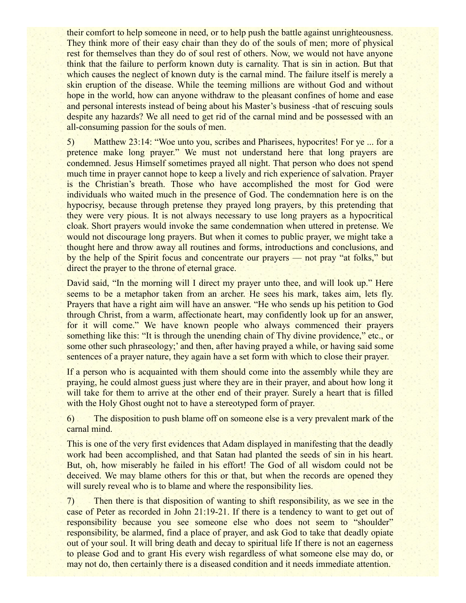their comfort to help someone in need, or to help push the battle against unrighteousness. They think more of their easy chair than they do of the souls of men; more of physical rest for themselves than they do of soul rest of others. Now, we would not have anyone think that the failure to perform known duty is carnality. That is sin in action. But that which causes the neglect of known duty is the carnal mind. The failure itself is merely a skin eruption of the disease. While the teeming millions are without God and without hope in the world, how can anyone withdraw to the pleasant confines of home and ease and personal interests instead of being about his Master's business -that of rescuing souls despite any hazards? We all need to get rid of the carnal mind and be possessed with an all-consuming passion for the souls of men.

5) Matthew 23:14: "Woe unto you, scribes and Pharisees, hypocrites! For ye ... for a pretence make long prayer." We must not understand here that long prayers are condemned. Jesus Himself sometimes prayed all night. That person who does not spend much time in prayer cannot hope to keep a lively and rich experience of salvation. Prayer is the Christian's breath. Those who have accomplished the most for God were individuals who waited much in the presence of God. The condemnation here is on the hypocrisy, because through pretense they prayed long prayers, by this pretending that they were very pious. It is not always necessary to use long prayers as a hypocritical cloak. Short prayers would invoke the same condemnation when uttered in pretense. We would not discourage long prayers. But when it comes to public prayer, we might take a thought here and throw away all routines and forms, introductions and conclusions, and by the help of the Spirit focus and concentrate our prayers — not pray "at folks," but direct the prayer to the throne of eternal grace.

David said, "In the morning will I direct my prayer unto thee, and will look up." Here seems to be a metaphor taken from an archer. He sees his mark, takes aim, lets fly. Prayers that have a right aim will have an answer. "He who sends up his petition to God through Christ, from a warm, affectionate heart, may confidently look up for an answer, for it will come." We have known people who always commenced their prayers something like this: "It is through the unending chain of Thy divine providence," etc., or some other such phraseology;' and then, after having prayed a while, or having said some sentences of a prayer nature, they again have a set form with which to close their prayer.

If a person who is acquainted with them should come into the assembly while they are praying, he could almost guess just where they are in their prayer, and about how long it will take for them to arrive at the other end of their prayer. Surely a heart that is filled with the Holy Ghost ought not to have a stereotyped form of prayer.

6) The disposition to push blame off on someone else is a very prevalent mark of the carnal mind.

This is one of the very first evidences that Adam displayed in manifesting that the deadly work had been accomplished, and that Satan had planted the seeds of sin in his heart. But, oh, how miserably he failed in his effort! The God of all wisdom could not be deceived. We may blame others for this or that, but when the records are opened they will surely reveal who is to blame and where the responsibility lies.

7) Then there is that disposition of wanting to shift responsibility, as we see in the case of Peter as recorded in John 21:19-21. If there is a tendency to want to get out of responsibility because you see someone else who does not seem to "shoulder" responsibility, be alarmed, find a place of prayer, and ask God to take that deadly opiate out of your soul. It will bring death and decay to spiritual life If there is not an eagerness to please God and to grant His every wish regardless of what someone else may do, or may not do, then certainly there is a diseased condition and it needs immediate attention.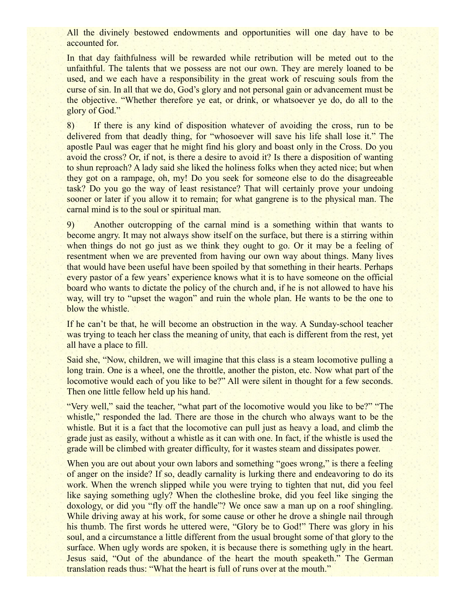All the divinely bestowed endowments and opportunities will one day have to be accounted for.

In that day faithfulness will be rewarded while retribution will be meted out to the unfaithful. The talents that we possess are not our own. They are merely loaned to be used, and we each have a responsibility in the great work of rescuing souls from the curse of sin. In all that we do, God's glory and not personal gain or advancement must be the objective. "Whether therefore ye eat, or drink, or whatsoever ye do, do all to the glory of God."

8) If there is any kind of disposition whatever of avoiding the cross, run to be delivered from that deadly thing, for "whosoever will save his life shall lose it." The apostle Paul was eager that he might find his glory and boast only in the Cross. Do you avoid the cross? Or, if not, is there a desire to avoid it? Is there a disposition of wanting to shun reproach? A lady said she liked the holiness folks when they acted nice; but when they got on a rampage, oh, my! Do you seek for someone else to do the disagreeable task? Do you go the way of least resistance? That will certainly prove your undoing sooner or later if you allow it to remain; for what gangrene is to the physical man. The carnal mind is to the soul or spiritual man.

9) Another outcropping of the carnal mind is a something within that wants to become angry. It may not always show itself on the surface, but there is a stirring within when things do not go just as we think they ought to go. Or it may be a feeling of resentment when we are prevented from having our own way about things. Many lives that would have been useful have been spoiled by that something in their hearts. Perhaps every pastor of a few years' experience knows what it is to have someone on the official board who wants to dictate the policy of the church and, if he is not allowed to have his way, will try to "upset the wagon" and ruin the whole plan. He wants to be the one to blow the whistle.

If he can't be that, he will become an obstruction in the way. A Sunday-school teacher was trying to teach her class the meaning of unity, that each is different from the rest, yet all have a place to fill.

Said she, "Now, children, we will imagine that this class is a steam locomotive pulling a long train. One is a wheel, one the throttle, another the piston, etc. Now what part of the locomotive would each of you like to be?" All were silent in thought for a few seconds. Then one little fellow held up his hand.

"Very well," said the teacher, "what part of the locomotive would you like to be?" "The whistle," responded the lad. There are those in the church who always want to be the whistle. But it is a fact that the locomotive can pull just as heavy a load, and climb the grade just as easily, without a whistle as it can with one. In fact, if the whistle is used the grade will be climbed with greater difficulty, for it wastes steam and dissipates power.

When you are out about your own labors and something "goes wrong," is there a feeling of anger on the inside? If so, deadly carnality is lurking there and endeavoring to do its work. When the wrench slipped while you were trying to tighten that nut, did you feel like saying something ugly? When the clothesline broke, did you feel like singing the doxology, or did you "fly off the handle"? We once saw a man up on a roof shingling. While driving away at his work, for some cause or other he drove a shingle nail through his thumb. The first words he uttered were, "Glory be to God!" There was glory in his soul, and a circumstance a little different from the usual brought some of that glory to the surface. When ugly words are spoken, it is because there is something ugly in the heart. Jesus said, "Out of the abundance of the heart the mouth speaketh." The German translation reads thus: "What the heart is full of runs over at the mouth."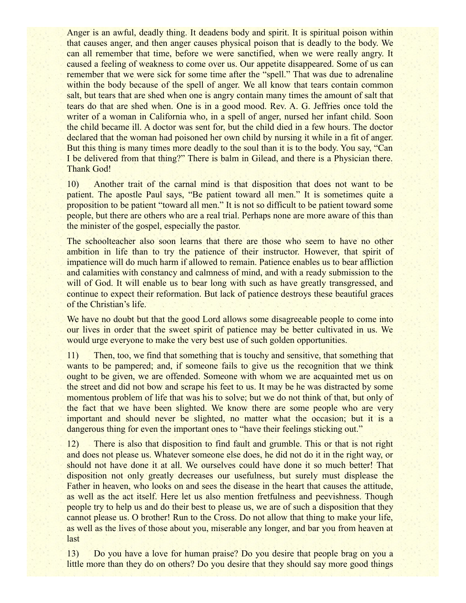Anger is an awful, deadly thing. It deadens body and spirit. It is spiritual poison within that causes anger, and then anger causes physical poison that is deadly to the body. We can all remember that time, before we were sanctified, when we were really angry. It caused a feeling of weakness to come over us. Our appetite disappeared. Some of us can remember that we were sick for some time after the "spell." That was due to adrenaline within the body because of the spell of anger. We all know that tears contain common salt, but tears that are shed when one is angry contain many times the amount of salt that tears do that are shed when. One is in a good mood. Rev. A. G. Jeffries once told the writer of a woman in California who, in a spell of anger, nursed her infant child. Soon the child became ill. A doctor was sent for, but the child died in a few hours. The doctor declared that the woman had poisoned her own child by nursing it while in a fit of anger. But this thing is many times more deadly to the soul than it is to the body. You say, "Can I be delivered from that thing?" There is balm in Gilead, and there is a Physician there. Thank God!

10) Another trait of the carnal mind is that disposition that does not want to be patient. The apostle Paul says, "Be patient toward all men." It is sometimes quite a proposition to be patient "toward all men." It is not so difficult to be patient toward some people, but there are others who are a real trial. Perhaps none are more aware of this than the minister of the gospel, especially the pastor.

The schoolteacher also soon learns that there are those who seem to have no other ambition in life than to try the patience of their instructor. However, that spirit of impatience will do much harm if allowed to remain. Patience enables us to bear affliction and calamities with constancy and calmness of mind, and with a ready submission to the will of God. It will enable us to bear long with such as have greatly transgressed, and continue to expect their reformation. But lack of patience destroys these beautiful graces of the Christian's life.

We have no doubt but that the good Lord allows some disagreeable people to come into our lives in order that the sweet spirit of patience may be better cultivated in us. We would urge everyone to make the very best use of such golden opportunities.

11) Then, too, we find that something that is touchy and sensitive, that something that wants to be pampered; and, if someone fails to give us the recognition that we think ought to be given, we are offended. Someone with whom we are acquainted met us on the street and did not bow and scrape his feet to us. It may be he was distracted by some momentous problem of life that was his to solve; but we do not think of that, but only of the fact that we have been slighted. We know there are some people who are very important and should never be slighted, no matter what the occasion; but it is a dangerous thing for even the important ones to "have their feelings sticking out."

12) There is also that disposition to find fault and grumble. This or that is not right and does not please us. Whatever someone else does, he did not do it in the right way, or should not have done it at all. We ourselves could have done it so much better! That disposition not only greatly decreases our usefulness, but surely must displease the Father in heaven, who looks on and sees the disease in the heart that causes the attitude, as well as the act itself. Here let us also mention fretfulness and peevishness. Though people try to help us and do their best to please us, we are of such a disposition that they cannot please us. O brother! Run to the Cross. Do not allow that thing to make your life, as well as the lives of those about you, miserable any longer, and bar you from heaven at last

13) Do you have a love for human praise? Do you desire that people brag on you a little more than they do on others? Do you desire that they should say more good things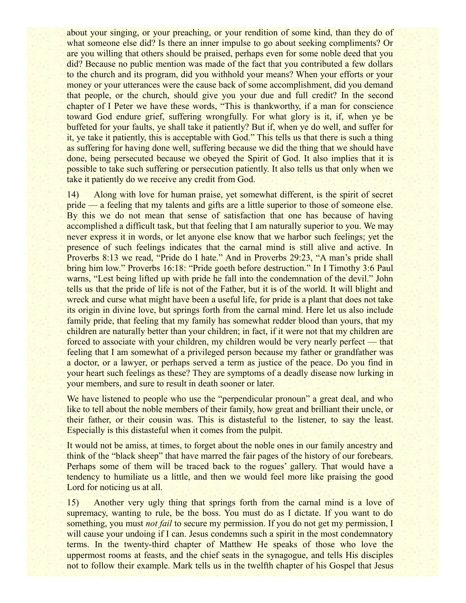about your singing, or your preaching, or your rendition of some kind, than they do of what someone else did? Is there an inner impulse to go about seeking compliments? Or are you willing that others should be praised, perhaps even for some noble deed that you did? Because no public mention was made of the fact that you contributed a few dollars to the church and its program, did you withhold your means? When your efforts or your money or your utterances were the cause back of some accomplishment, did you demand that people, or the church, should give you your due and full credit? In the second chapter of I Peter we have these words, "This is thankworthy, if a man for conscience toward God endure grief, suffering wrongfully. For what glory is it, if, when ye be buffeted for your faults, ye shall take it patiently? But if, when ye do well, and suffer for it, ye take it patiently, this is acceptable with God." This tells us that there is such a thing as suffering for having done well, suffering because we did the thing that we should have done, being persecuted because we obeyed the Spirit of God. It also implies that it is possible to take such suffering or persecution patiently. It also tells us that only when we take it patiently do we receive any credit from God.

14) Along with love for human praise, yet somewhat different, is the spirit of secret pride — a feeling that my talents and gifts are a little superior to those of someone else. By this we do not mean that sense of satisfaction that one has because of having accomplished a difficult task, but that feeling that I am naturally superior to you. We may never express it in words, or let anyone else know that we harbor such feelings; yet the presence of such feelings indicates that the carnal mind is still alive and active. In Proverbs 8:13 we read, "Pride do I hate." And in Proverbs 29:23, "A man's pride shall bring him low." Proverbs 16:18: "Pride goeth before destruction." In I Timothy 3:6 Paul warns, "Lest being lifted up with pride he fall into the condemnation of the devil." John tells us that the pride of life is not of the Father, but it is of the world. It will blight and wreck and curse what might have been a useful life, for pride is a plant that does not take its origin in divine love, but springs forth from the carnal mind. Here let us also include family pride, that feeling that my family has somewhat redder blood than yours, that my children are naturally better than your children; in fact, if it were not that my children are forced to associate with your children, my children would be very nearly perfect — that feeling that I am somewhat of a privileged person because my father or grandfather was a doctor, or a lawyer, or perhaps served a term as justice of the peace. Do you find in your heart such feelings as these? They are symptoms of a deadly disease now lurking in your members, and sure to result in death sooner or later.

We have listened to people who use the "perpendicular pronoun" a great deal, and who like to tell about the noble members of their family, how great and brilliant their uncle, or their father, or their cousin was. This is distasteful to the listener, to say the least. Especially is this distasteful when it comes from the pulpit.

It would not be amiss, at times, to forget about the noble ones in our family ancestry and think of the "black sheep" that have marred the fair pages of the history of our forebears. Perhaps some of them will be traced back to the rogues' gallery. That would have a tendency to humiliate us a little, and then we would feel more like praising the good Lord for noticing us at all.

15) Another very ugly thing that springs forth from the carnal mind is a love of supremacy, wanting to rule, be the boss. You must do as I dictate. If you want to do something, you must *not fail* to secure my permission. If you do not get my permission, I will cause your undoing if I can. Jesus condemns such a spirit in the most condemnatory terms. In the twenty-third chapter of Matthew He speaks of those who love the uppermost rooms at feasts, and the chief seats in the synagogue, and tells His disciples not to follow their example. Mark tells us in the twelfth chapter of his Gospel that Jesus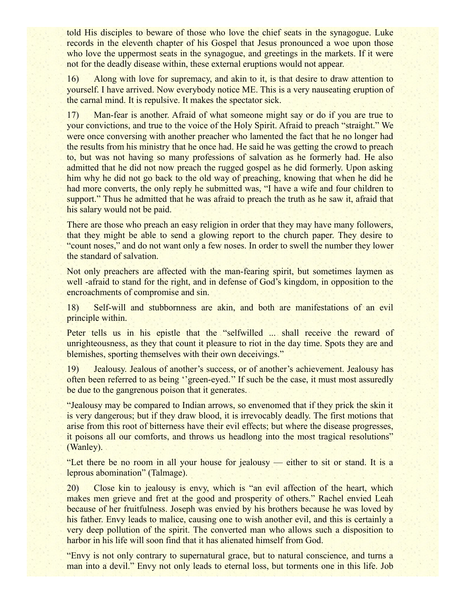told His disciples to beware of those who love the chief seats in the synagogue. Luke records in the eleventh chapter of his Gospel that Jesus pronounced a woe upon those who love the uppermost seats in the synagogue, and greetings in the markets. If it were not for the deadly disease within, these external eruptions would not appear.

16) Along with love for supremacy, and akin to it, is that desire to draw attention to yourself. I have arrived. Now everybody notice ME. This is a very nauseating eruption of the carnal mind. It is repulsive. It makes the spectator sick.

17) Man-fear is another. Afraid of what someone might say or do if you are true to your convictions, and true to the voice of the Holy Spirit. Afraid to preach "straight." We were once conversing with another preacher who lamented the fact that he no longer had the results from his ministry that he once had. He said he was getting the crowd to preach to, but was not having so many professions of salvation as he formerly had. He also admitted that he did not now preach the rugged gospel as he did formerly. Upon asking him why he did not go back to the old way of preaching, knowing that when he did he had more converts, the only reply he submitted was, "I have a wife and four children to support." Thus he admitted that he was afraid to preach the truth as he saw it, afraid that his salary would not be paid.

There are those who preach an easy religion in order that they may have many followers, that they might be able to send a glowing report to the church paper. They desire to "count noses," and do not want only a few noses. In order to swell the number they lower the standard of salvation.

Not only preachers are affected with the man-fearing spirit, but sometimes laymen as well -afraid to stand for the right, and in defense of God's kingdom, in opposition to the encroachments of compromise and sin.

18) Self-will and stubbornness are akin, and both are manifestations of an evil principle within.

Peter tells us in his epistle that the "selfwilled ... shall receive the reward of unrighteousness, as they that count it pleasure to riot in the day time. Spots they are and blemishes, sporting themselves with their own deceivings."

19) Jealousy. Jealous of another's success, or of another's achievement. Jealousy has often been referred to as being ''green-eyed.'' If such be the case, it must most assuredly be due to the gangrenous poison that it generates.

"Jealousy may be compared to Indian arrows, so envenomed that if they prick the skin it is very dangerous; but if they draw blood, it is irrevocably deadly. The first motions that arise from this root of bitterness have their evil effects; but where the disease progresses, it poisons all our comforts, and throws us headlong into the most tragical resolutions" (Wanley).

"Let there be no room in all your house for jealousy — either to sit or stand. It is a leprous abomination" (Talmage).

20) Close kin to jealousy is envy, which is "an evil affection of the heart, which makes men grieve and fret at the good and prosperity of others." Rachel envied Leah because of her fruitfulness. Joseph was envied by his brothers because he was loved by his father. Envy leads to malice, causing one to wish another evil, and this is certainly a very deep pollution of the spirit. The converted man who allows such a disposition to harbor in his life will soon find that it has alienated himself from God.

"Envy is not only contrary to supernatural grace, but to natural conscience, and turns a man into a devil." Envy not only leads to eternal loss, but torments one in this life. Job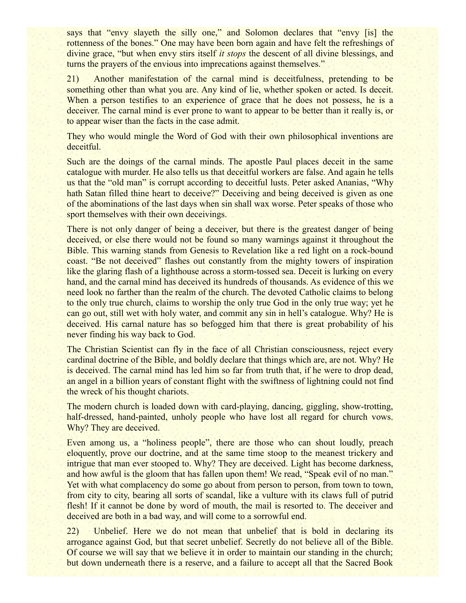says that "envy slayeth the silly one," and Solomon declares that "envy [is] the rottenness of the bones." One may have been born again and have felt the refreshings of divine grace, "but when envy stirs itself *it stops* the descent of all divine blessings, and turns the prayers of the envious into imprecations against themselves."

21) Another manifestation of the carnal mind is deceitfulness, pretending to be something other than what you are. Any kind of lie, whether spoken or acted. Is deceit. When a person testifies to an experience of grace that he does not possess, he is a deceiver. The carnal mind is ever prone to want to appear to be better than it really is, or to appear wiser than the facts in the case admit.

They who would mingle the Word of God with their own philosophical inventions are deceitful.

Such are the doings of the carnal minds. The apostle Paul places deceit in the same catalogue with murder. He also tells us that deceitful workers are false. And again he tells us that the "old man" is corrupt according to deceitful lusts. Peter asked Ananias, "Why hath Satan filled thine heart to deceive?" Deceiving and being deceived is given as one of the abominations of the last days when sin shall wax worse. Peter speaks of those who sport themselves with their own deceivings.

There is not only danger of being a deceiver, but there is the greatest danger of being deceived, or else there would not be found so many warnings against it throughout the Bible. This warning stands from Genesis to Revelation like a red light on a rock-bound coast. "Be not deceived" flashes out constantly from the mighty towers of inspiration like the glaring flash of a lighthouse across a storm-tossed sea. Deceit is lurking on every hand, and the carnal mind has deceived its hundreds of thousands. As evidence of this we need look no farther than the realm of the church. The devoted Catholic claims to belong to the only true church, claims to worship the only true God in the only true way; yet he can go out, still wet with holy water, and commit any sin in hell's catalogue. Why? He is deceived. His carnal nature has so befogged him that there is great probability of his never finding his way back to God.

The Christian Scientist can fly in the face of all Christian consciousness, reject every cardinal doctrine of the Bible, and boldly declare that things which are, are not. Why? He is deceived. The carnal mind has led him so far from truth that, if he were to drop dead, an angel in a billion years of constant flight with the swiftness of lightning could not find the wreck of his thought chariots.

The modern church is loaded down with card-playing, dancing, giggling, show-trotting, half-dressed, hand-painted, unholy people who have lost all regard for church vows. Why? They are deceived.

Even among us, a "holiness people", there are those who can shout loudly, preach eloquently, prove our doctrine, and at the same time stoop to the meanest trickery and intrigue that man ever stooped to. Why? They are deceived. Light has become darkness, and how awful is the gloom that has fallen upon them! We read, "Speak evil of no man." Yet with what complacency do some go about from person to person, from town to town, from city to city, bearing all sorts of scandal, like a vulture with its claws full of putrid flesh! If it cannot be done by word of mouth, the mail is resorted to. The deceiver and deceived are both in a bad way, and will come to a sorrowful end.

22) Unbelief. Here we do not mean that unbelief that is bold in declaring its arrogance against God, but that secret unbelief. Secretly do not believe all of the Bible. Of course we will say that we believe it in order to maintain our standing in the church; but down underneath there is a reserve, and a failure to accept all that the Sacred Book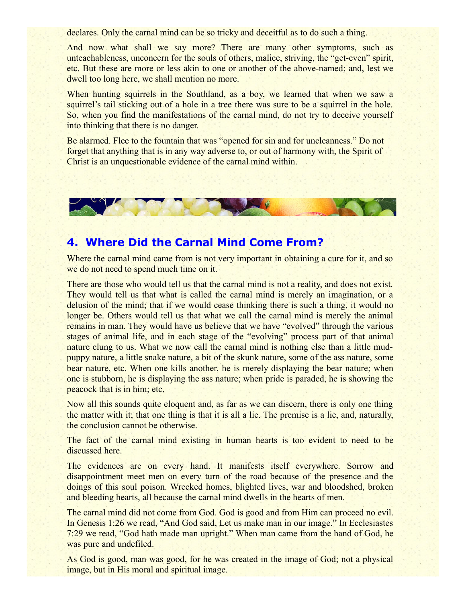declares. Only the carnal mind can be so tricky and deceitful as to do such a thing.

And now what shall we say more? There are many other symptoms, such as unteachableness, unconcern for the souls of others, malice, striving, the "get-even" spirit, etc. But these are more or less akin to one or another of the above-named; and, lest we dwell too long here, we shall mention no more.

When hunting squirrels in the Southland, as a boy, we learned that when we saw a squirrel's tail sticking out of a hole in a tree there was sure to be a squirrel in the hole. So, when you find the manifestations of the carnal mind, do not try to deceive yourself into thinking that there is no danger.

Be alarmed. Flee to the fountain that was "opened for sin and for uncleanness." Do not forget that anything that is in any way adverse to, or out of harmony with, the Spirit of Christ is an unquestionable evidence of the carnal mind within.



## **4. Where Did the Carnal Mind Come From?**

Where the carnal mind came from is not very important in obtaining a cure for it, and so we do not need to spend much time on it.

There are those who would tell us that the carnal mind is not a reality, and does not exist. They would tell us that what is called the carnal mind is merely an imagination, or a delusion of the mind; that if we would cease thinking there is such a thing, it would no longer be. Others would tell us that what we call the carnal mind is merely the animal remains in man. They would have us believe that we have "evolved" through the various stages of animal life, and in each stage of the "evolving" process part of that animal nature clung to us. What we now call the carnal mind is nothing else than a little mudpuppy nature, a little snake nature, a bit of the skunk nature, some of the ass nature, some bear nature, etc. When one kills another, he is merely displaying the bear nature; when one is stubborn, he is displaying the ass nature; when pride is paraded, he is showing the peacock that is in him; etc.

Now all this sounds quite eloquent and, as far as we can discern, there is only one thing the matter with it; that one thing is that it is all a lie. The premise is a lie, and, naturally, the conclusion cannot be otherwise.

The fact of the carnal mind existing in human hearts is too evident to need to be discussed here.

The evidences are on every hand. It manifests itself everywhere. Sorrow and disappointment meet men on every turn of the road because of the presence and the doings of this soul poison. Wrecked homes, blighted lives, war and bloodshed, broken and bleeding hearts, all because the carnal mind dwells in the hearts of men.

The carnal mind did not come from God. God is good and from Him can proceed no evil. In Genesis 1:26 we read, "And God said, Let us make man in our image." In Ecclesiastes 7:29 we read, "God hath made man upright." When man came from the hand of God, he was pure and undefiled.

As God is good, man was good, for he was created in the image of God; not a physical image, but in His moral and spiritual image.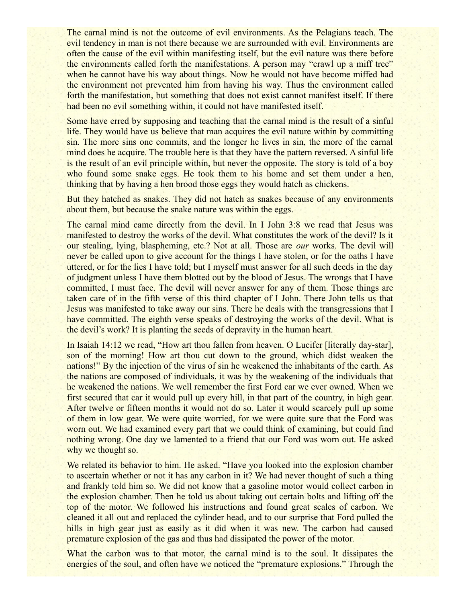The carnal mind is not the outcome of evil environments. As the Pelagians teach. The evil tendency in man is not there because we are surrounded with evil. Environments are often the cause of the evil within manifesting itself, but the evil nature was there before the environments called forth the manifestations. A person may "crawl up a miff tree" when he cannot have his way about things. Now he would not have become miffed had the environment not prevented him from having his way. Thus the environment called forth the manifestation, but something that does not exist cannot manifest itself. If there had been no evil something within, it could not have manifested itself.

Some have erred by supposing and teaching that the carnal mind is the result of a sinful life. They would have us believe that man acquires the evil nature within by committing sin. The more sins one commits, and the longer he lives in sin, the more of the carnal mind does he acquire. The trouble here is that they have the pattern reversed. A sinful life is the result of an evil principle within, but never the opposite. The story is told of a boy who found some snake eggs. He took them to his home and set them under a hen, thinking that by having a hen brood those eggs they would hatch as chickens.

But they hatched as snakes. They did not hatch as snakes because of any environments about them, but because the snake nature was within the eggs.

The carnal mind came directly from the devil. In I John 3:8 we read that Jesus was manifested to destroy the works of the devil. What constitutes the work of the devil? Is it our stealing, lying, blaspheming, etc.? Not at all. Those are *our* works. The devil will never be called upon to give account for the things I have stolen, or for the oaths I have uttered, or for the lies I have told; but I myself must answer for all such deeds in the day of judgment unless I have them blotted out by the blood of Jesus. The wrongs that I have committed, I must face. The devil will never answer for any of them. Those things are taken care of in the fifth verse of this third chapter of I John. There John tells us that Jesus was manifested to take away our sins. There he deals with the transgressions that I have committed. The eighth verse speaks of destroying the works of the devil. What is the devil's work? It is planting the seeds of depravity in the human heart.

In Isaiah 14:12 we read, "How art thou fallen from heaven. O Lucifer [literally day-star], son of the morning! How art thou cut down to the ground, which didst weaken the nations!" By the injection of the virus of sin he weakened the inhabitants of the earth. As the nations are composed of individuals, it was by the weakening of the individuals that he weakened the nations. We well remember the first Ford car we ever owned. When we first secured that car it would pull up every hill, in that part of the country, in high gear. After twelve or fifteen months it would not do so. Later it would scarcely pull up some of them in low gear. We were quite worried, for we were quite sure that the Ford was worn out. We had examined every part that we could think of examining, but could find nothing wrong. One day we lamented to a friend that our Ford was worn out. He asked why we thought so.

We related its behavior to him. He asked. "Have you looked into the explosion chamber to ascertain whether or not it has any carbon in it? We had never thought of such a thing and frankly told him so. We did not know that a gasoline motor would collect carbon in the explosion chamber. Then he told us about taking out certain bolts and lifting off the top of the motor. We followed his instructions and found great scales of carbon. We cleaned it all out and replaced the cylinder head, and to our surprise that Ford pulled the hills in high gear just as easily as it did when it was new. The carbon had caused premature explosion of the gas and thus had dissipated the power of the motor.

What the carbon was to that motor, the carnal mind is to the soul. It dissipates the energies of the soul, and often have we noticed the "premature explosions." Through the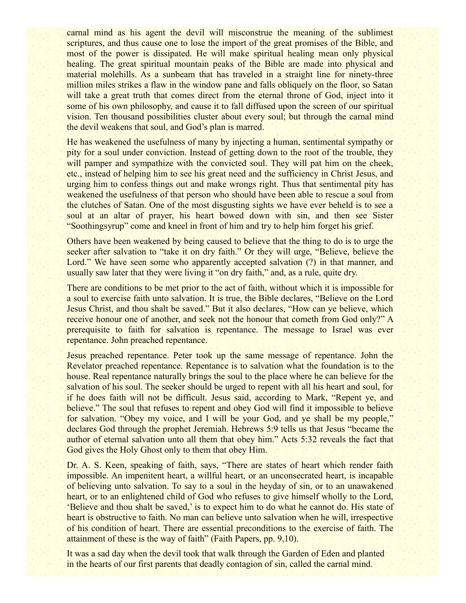carnal mind as his agent the devil will misconstrue the meaning of the sublimest scriptures, and thus cause one to lose the import of the great promises of the Bible, and most of the power is dissipated. He will make spiritual healing mean only physical healing. The great spiritual mountain peaks of the Bible are made into physical and material molehills. As a sunbeam that has traveled in a straight line for ninety-three million miles strikes a flaw in the window pane and falls obliquely on the floor, so Satan will take a great truth that comes direct from the eternal throne of God, inject into it some of his own philosophy, and cause it to fall diffused upon the screen of our spiritual vision. Ten thousand possibilities cluster about every soul; but through the carnal mind the devil weakens that soul, and God's plan is marred.

He has weakened the usefulness of many by injecting a human, sentimental sympathy or pity for a soul under conviction. Instead of getting down to the root of the trouble, they will pamper and sympathize with the convicted soul. They will pat him on the cheek, etc., instead of helping him to see his great need and the sufficiency in Christ Jesus, and urging him to confess things out and make wrongs right. Thus that sentimental pity has weakened the usefulness of that person who should have been able to rescue a soul from the clutches of Satan. One of the most disgusting sights we have ever beheld is to see a soul at an altar of prayer, his heart bowed down with sin, and then see Sister "Soothingsyrup" come and kneel in front of him and try to help him forget his grief.

Others have been weakened by being caused to believe that the thing to do is to urge the seeker after salvation to "take it on dry faith." Or they will urge, "Believe, believe the Lord." We have seen some who apparently accepted salvation (?) in that manner, and usually saw later that they were living it "on dry faith," and, as a rule, quite dry.

There are conditions to be met prior to the act of faith, without which it is impossible for a soul to exercise faith unto salvation. It is true, the Bible declares, "Believe on the Lord Jesus Christ, and thou shalt be saved." But it also declares, "How can ye believe, which receive honour one of another, and seek not the honour that cometh from God only?" A prerequisite to faith for salvation is repentance. The message to Israel was ever repentance. John preached repentance.

Jesus preached repentance. Peter took up the same message of repentance. John the Revelator preached repentance. Repentance is to salvation what the foundation is to the house. Real repentance naturally brings the soul to the place where he can believe for the salvation of his soul. The seeker should be urged to repent with all his heart and soul, for if he does faith will not be difficult. Jesus said, according to Mark, "Repent ye, and believe." The soul that refuses to repent and obey God will find it impossible to believe for salvation. "Obey my voice, and I will be your God, and ye shall be my people," declares God through the prophet Jeremiah. Hebrews 5:9 tells us that Jesus "became the author of eternal salvation unto all them that obey him." Acts 5:32 reveals the fact that God gives the Holy Ghost only to them that obey Him.

Dr. A. S. Keen, speaking of faith, says, "There are states of heart which render faith impossible. An impenitent heart, a willful heart, or an unconsecrated heart, is incapable of believing unto salvation. To say to a soul in the heyday of sin, or to an unawakened heart, or to an enlightened child of God who refuses to give himself wholly to the Lord, 'Believe and thou shalt be saved,' is to expect him to do what he cannot do. His state of heart is obstructive to faith. No man can believe unto salvation when he will, irrespective of his condition of heart. There are essential preconditions to the exercise of faith. The attainment of these is the way of faith" (Faith Papers, pp. 9,10).

It was a sad day when the devil took that walk through the Garden of Eden and planted in the hearts of our first parents that deadly contagion of sin, called the carnal mind.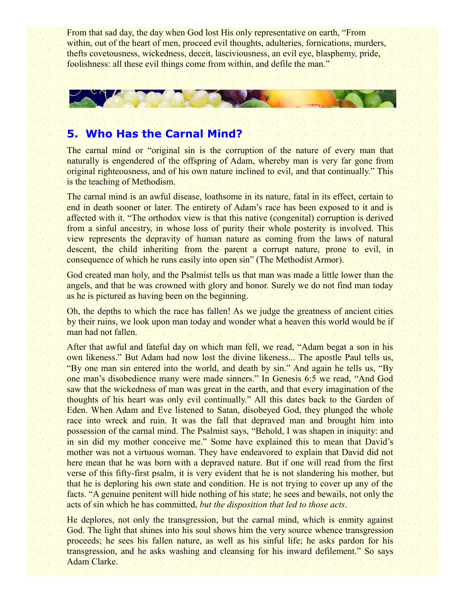From that sad day, the day when God lost His only representative on earth, "From within, out of the heart of men, proceed evil thoughts, adulteries, fornications, murders, thefts covetousness, wickedness, deceit, lasciviousness, an evil eye, blasphemy, pride, foolishness: all these evil things come from within, and defile the man."



#### **5. Who Has the Carnal Mind?**

The carnal mind or "original sin is the corruption of the nature of every man that naturally is engendered of the offspring of Adam, whereby man is very far gone from original righteousness, and of his own nature inclined to evil, and that continually." This is the teaching of Methodism.

The carnal mind is an awful disease, loathsome in its nature, fatal in its effect, certain to end in death sooner or later. The entirety of Adam's race has been exposed to it and is affected with it. "The orthodox view is that this native (congenital) corruption is derived from a sinful ancestry, in whose loss of purity their whole posterity is involved. This view represents the depravity of human nature as coming from the laws of natural descent, the child inheriting from the parent a corrupt nature, prone to evil, in consequence of which he runs easily into open sin" (The Methodist Armor).

God created man holy, and the Psalmist tells us that man was made a little lower than the angels, and that he was crowned with glory and honor. Surely we do not find man today as he is pictured as having been on the beginning.

Oh, the depths to which the race has fallen! As we judge the greatness of ancient cities by their ruins, we look upon man today and wonder what a heaven this world would be if man had not fallen.

After that awful and fateful day on which man fell, we read, "Adam begat a son in his own likeness." But Adam had now lost the divine likeness... The apostle Paul tells us, "By one man sin entered into the world, and death by sin." And again he tells us, "By one man's disobedience many were made sinners." In Genesis 6:5 we read, "And God saw that the wickedness of man was great in the earth, and that every imagination of the thoughts of his heart was only evil continually." All this dates back to the Garden of Eden. When Adam and Eve listened to Satan, disobeyed God, they plunged the whole race into wreck and ruin. It was the fall that depraved man and brought him into possession of the carnal mind. The Psalmist says, "Behold, I was shapen in iniquity: and in sin did my mother conceive me." Some have explained this to mean that David's mother was not a virtuous woman. They have endeavored to explain that David did not here mean that he was born with a depraved nature. But if one will read from the first verse of this fifty-first psalm, it is very evident that he is not slandering his mother, but that he is deploring his own state and condition. He is not trying to cover up any of the facts. "A genuine penitent will hide nothing of his state; he sees and bewails, not only the acts of sin which he has committed, *but the disposition that led to those acts*.

He deplores, not only the transgression, but the carnal mind, which is enmity against God. The light that shines into his soul shows him the very source whence transgression proceeds; he sees his fallen nature, as well as his sinful life; he asks pardon for his transgression, and he asks washing and cleansing for his inward defilement." So says Adam Clarke.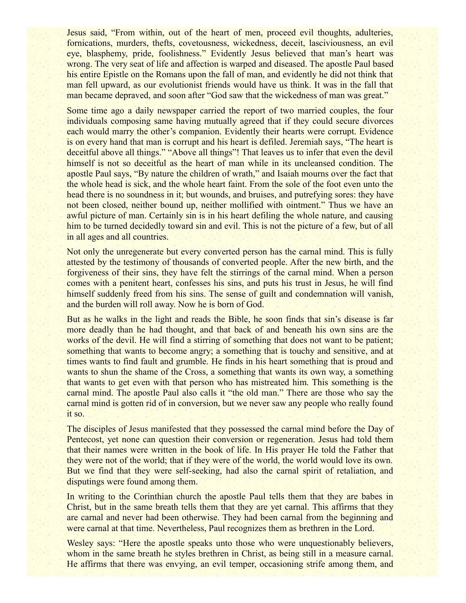Jesus said, "From within, out of the heart of men, proceed evil thoughts, adulteries, fornications, murders, thefts, covetousness, wickedness, deceit, lasciviousness, an evil eye, blasphemy, pride, foolishness." Evidently Jesus believed that man's heart was wrong. The very seat of life and affection is warped and diseased. The apostle Paul based his entire Epistle on the Romans upon the fall of man, and evidently he did not think that man fell upward, as our evolutionist friends would have us think. It was in the fall that man became depraved, and soon after "God saw that the wickedness of man was great."

Some time ago a daily newspaper carried the report of two married couples, the four individuals composing same having mutually agreed that if they could secure divorces each would marry the other's companion. Evidently their hearts were corrupt. Evidence is on every hand that man is corrupt and his heart is defiled. Jeremiah says, "The heart is deceitful above all things." "Above all things"! That leaves us to infer that even the devil himself is not so deceitful as the heart of man while in its uncleansed condition. The apostle Paul says, "By nature the children of wrath," and Isaiah mourns over the fact that the whole head is sick, and the whole heart faint. From the sole of the foot even unto the head there is no soundness in it; but wounds, and bruises, and putrefying sores: they have not been closed, neither bound up, neither mollified with ointment." Thus we have an awful picture of man. Certainly sin is in his heart defiling the whole nature, and causing him to be turned decidedly toward sin and evil. This is not the picture of a few, but of all in all ages and all countries.

Not only the unregenerate but every converted person has the carnal mind. This is fully attested by the testimony of thousands of converted people. After the new birth, and the forgiveness of their sins, they have felt the stirrings of the carnal mind. When a person comes with a penitent heart, confesses his sins, and puts his trust in Jesus, he will find himself suddenly freed from his sins. The sense of guilt and condemnation will vanish, and the burden will roll away. Now he is born of God.

But as he walks in the light and reads the Bible, he soon finds that sin's disease is far more deadly than he had thought, and that back of and beneath his own sins are the works of the devil. He will find a stirring of something that does not want to be patient; something that wants to become angry; a something that is touchy and sensitive, and at times wants to find fault and grumble. He finds in his heart something that is proud and wants to shun the shame of the Cross, a something that wants its own way, a something that wants to get even with that person who has mistreated him. This something is the carnal mind. The apostle Paul also calls it "the old man." There are those who say the carnal mind is gotten rid of in conversion, but we never saw any people who really found it so.

The disciples of Jesus manifested that they possessed the carnal mind before the Day of Pentecost, yet none can question their conversion or regeneration. Jesus had told them that their names were written in the book of life. In His prayer He told the Father that they were not of the world; that if they were of the world, the world would love its own. But we find that they were self-seeking, had also the carnal spirit of retaliation, and disputings were found among them.

In writing to the Corinthian church the apostle Paul tells them that they are babes in Christ, but in the same breath tells them that they are yet carnal. This affirms that they are carnal and never had been otherwise. They had been carnal from the beginning and were carnal at that time. Nevertheless, Paul recognizes them as brethren in the Lord.

Wesley says: "Here the apostle speaks unto those who were unquestionably believers, whom in the same breath he styles brethren in Christ, as being still in a measure carnal. He affirms that there was envying, an evil temper, occasioning strife among them, and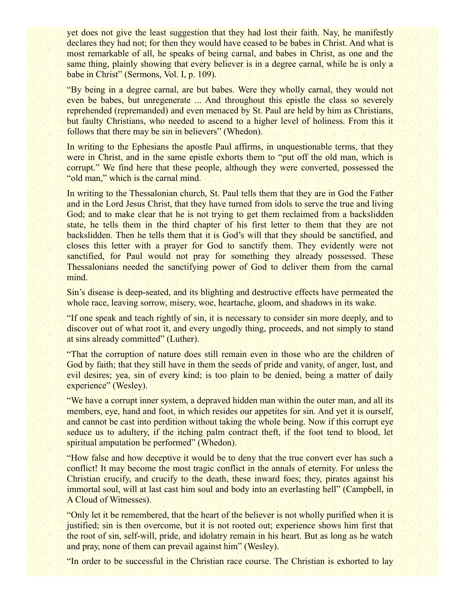yet does not give the least suggestion that they had lost their faith. Nay, he manifestly declares they had not; for then they would have ceased to be babes in Christ. And what is most remarkable of all, he speaks of being carnal, and babes in Christ, as one and the same thing, plainly showing that every believer is in a degree carnal, while he is only a babe in Christ" (Sermons, Vol. I, p. 109).

"By being in a degree carnal, are but babes. Were they wholly carnal, they would not even be babes, but unregenerate ... And throughout this epistle the class so severely reprehended (repremanded) and even menaced by St. Paul are held by him as Christians, but faulty Christians, who needed to ascend to a higher level of holiness. From this it follows that there may be sin in believers" (Whedon).

In writing to the Ephesians the apostle Paul affirms, in unquestionable terms, that they were in Christ, and in the same epistle exhorts them to "put off the old man, which is corrupt." We find here that these people, although they were converted, possessed the "old man," which is the carnal mind.

In writing to the Thessalonian church, St. Paul tells them that they are in God the Father and in the Lord Jesus Christ, that they have turned from idols to serve the true and living God; and to make clear that he is not trying to get them reclaimed from a backslidden state, he tells them in the third chapter of his first letter to them that they are not backslidden. Then he tells them that it is God's will that they should be sanctified, and closes this letter with a prayer for God to sanctify them. They evidently were not sanctified, for Paul would not pray for something they already possessed. These Thessalonians needed the sanctifying power of God to deliver them from the carnal mind.

Sin's disease is deep-seated, and its blighting and destructive effects have permeated the whole race, leaving sorrow, misery, woe, heartache, gloom, and shadows in its wake.

"If one speak and teach rightly of sin, it is necessary to consider sin more deeply, and to discover out of what root it, and every ungodly thing, proceeds, and not simply to stand at sins already committed" (Luther).

"That the corruption of nature does still remain even in those who are the children of God by faith; that they still have in them the seeds of pride and vanity, of anger, lust, and evil desires; yea, sin of every kind; is too plain to be denied, being a matter of daily experience" (Wesley).

"We have a corrupt inner system, a depraved hidden man within the outer man, and all its members, eye, hand and foot, in which resides our appetites for sin. And yet it is ourself, and cannot be cast into perdition without taking the whole being. Now if this corrupt eye seduce us to adultery, if the itching palm contract theft, if the foot tend to blood, let spiritual amputation be performed" (Whedon).

"How false and how deceptive it would be to deny that the true convert ever has such a conflict! It may become the most tragic conflict in the annals of eternity. For unless the Christian crucify, and crucify to the death, these inward foes; they, pirates against his immortal soul, will at last cast him soul and body into an everlasting hell" (Campbell, in A Cloud of Witnesses).

"Only let it be remembered, that the heart of the believer is not wholly purified when it is justified; sin is then overcome, but it is not rooted out; experience shows him first that the root of sin, self-will, pride, and idolatry remain in his heart. But as long as he watch and pray, none of them can prevail against him" (Wesley).

"In order to be successful in the Christian race course. The Christian is exhorted to lay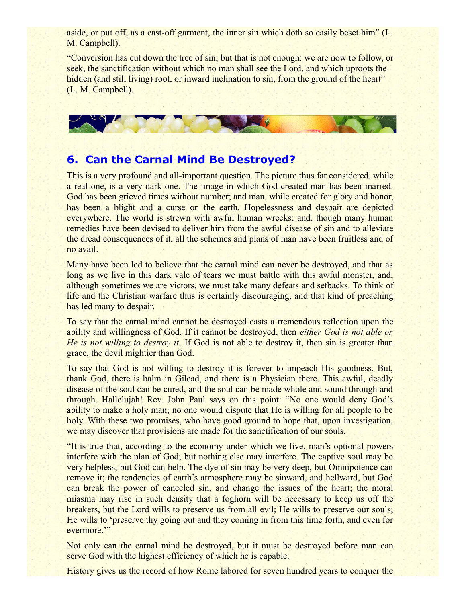aside, or put off, as a cast-off garment, the inner sin which doth so easily beset him" (L. M. Campbell).

"Conversion has cut down the tree of sin; but that is not enough: we are now to follow, or seek, the sanctification without which no man shall see the Lord, and which uproots the hidden (and still living) root, or inward inclination to sin, from the ground of the heart" (L. M. Campbell).



## **6. Can the Carnal Mind Be Destroyed?**

This is a very profound and all-important question. The picture thus far considered, while a real one, is a very dark one. The image in which God created man has been marred. God has been grieved times without number; and man, while created for glory and honor, has been a blight and a curse on the earth. Hopelessness and despair are depicted everywhere. The world is strewn with awful human wrecks; and, though many human remedies have been devised to deliver him from the awful disease of sin and to alleviate the dread consequences of it, all the schemes and plans of man have been fruitless and of no avail.

Many have been led to believe that the carnal mind can never be destroyed, and that as long as we live in this dark vale of tears we must battle with this awful monster, and, although sometimes we are victors, we must take many defeats and setbacks. To think of life and the Christian warfare thus is certainly discouraging, and that kind of preaching has led many to despair.

To say that the carnal mind cannot be destroyed casts a tremendous reflection upon the ability and willingness of God. If it cannot be destroyed, then *either God is not able or He is not willing to destroy it*. If God is not able to destroy it, then sin is greater than grace, the devil mightier than God.

To say that God is not willing to destroy it is forever to impeach His goodness. But, thank God, there is balm in Gilead, and there is a Physician there. This awful, deadly disease of the soul can be cured, and the soul can be made whole and sound through and through. Hallelujah! Rev. John Paul says on this point: "No one would deny God's ability to make a holy man; no one would dispute that He is willing for all people to be holy. With these two promises, who have good ground to hope that, upon investigation, we may discover that provisions are made for the sanctification of our souls.

"It is true that, according to the economy under which we live, man's optional powers interfere with the plan of God; but nothing else may interfere. The captive soul may be very helpless, but God can help. The dye of sin may be very deep, but Omnipotence can remove it; the tendencies of earth's atmosphere may be sinward, and hellward, but God can break the power of canceled sin, and change the issues of the heart; the moral miasma may rise in such density that a foghorn will be necessary to keep us off the breakers, but the Lord wills to preserve us from all evil; He wills to preserve our souls; He wills to 'preserve thy going out and they coming in from this time forth, and even for evermore.'"

Not only can the carnal mind be destroyed, but it must be destroyed before man can serve God with the highest efficiency of which he is capable.

History gives us the record of how Rome labored for seven hundred years to conquer the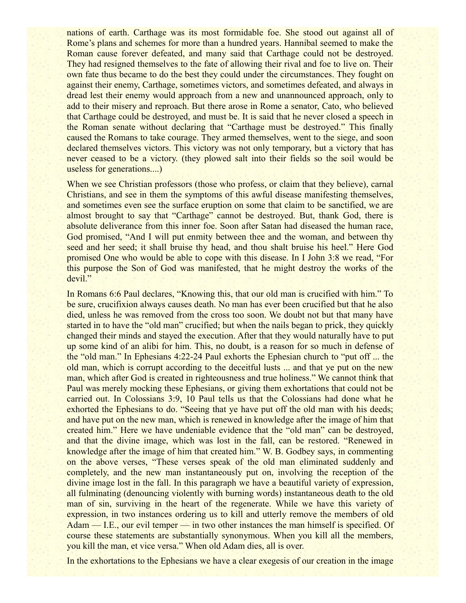nations of earth. Carthage was its most formidable foe. She stood out against all of Rome's plans and schemes for more than a hundred years. Hannibal seemed to make the Roman cause forever defeated, and many said that Carthage could not be destroyed. They had resigned themselves to the fate of allowing their rival and foe to live on. Their own fate thus became to do the best they could under the circumstances. They fought on against their enemy, Carthage, sometimes victors, and sometimes defeated, and always in dread lest their enemy would approach from a new and unannounced approach, only to add to their misery and reproach. But there arose in Rome a senator, Cato, who believed that Carthage could be destroyed, and must be. It is said that he never closed a speech in the Roman senate without declaring that "Carthage must be destroyed." This finally caused the Romans to take courage. They armed themselves, went to the siege, and soon declared themselves victors. This victory was not only temporary, but a victory that has never ceased to be a victory. (they plowed salt into their fields so the soil would be useless for generations....)

When we see Christian professors (those who profess, or claim that they believe), carnal Christians, and see in them the symptoms of this awful disease manifesting themselves, and sometimes even see the surface eruption on some that claim to be sanctified, we are almost brought to say that "Carthage" cannot be destroyed. But, thank God, there is absolute deliverance from this inner foe. Soon after Satan had diseased the human race, God promised, "And I will put enmity between thee and the woman, and between thy seed and her seed; it shall bruise thy head, and thou shalt bruise his heel." Here God promised One who would be able to cope with this disease. In I John 3:8 we read, "For this purpose the Son of God was manifested, that he might destroy the works of the devil."

In Romans 6:6 Paul declares, "Knowing this, that our old man is crucified with him." To be sure, crucifixion always causes death. No man has ever been crucified but that he also died, unless he was removed from the cross too soon. We doubt not but that many have started in to have the "old man" crucified; but when the nails began to prick, they quickly changed their minds and stayed the execution. After that they would naturally have to put up some kind of an alibi for him. This, no doubt, is a reason for so much in defense of the "old man." In Ephesians 4:22-24 Paul exhorts the Ephesian church to "put off ... the old man, which is corrupt according to the deceitful lusts ... and that ye put on the new man, which after God is created in righteousness and true holiness." We cannot think that Paul was merely mocking these Ephesians, or giving them exhortations that could not be carried out. In Colossians 3:9, 10 Paul tells us that the Colossians had done what he exhorted the Ephesians to do. "Seeing that ye have put off the old man with his deeds; and have put on the new man, which is renewed in knowledge after the image of him that created him." Here we have undeniable evidence that the "old man" can be destroyed, and that the divine image, which was lost in the fall, can be restored. "Renewed in knowledge after the image of him that created him." W. B. Godbey says, in commenting on the above verses, "These verses speak of the old man eliminated suddenly and completely, and the new man instantaneously put on, involving the reception of the divine image lost in the fall. In this paragraph we have a beautiful variety of expression, all fulminating (denouncing violently with burning words) instantaneous death to the old man of sin, surviving in the heart of the regenerate. While we have this variety of expression, in two instances ordering us to kill and utterly remove the members of old Adam — I.E., our evil temper — in two other instances the man himself is specified. Of course these statements are substantially synonymous. When you kill all the members, you kill the man, et vice versa." When old Adam dies, all is over.

In the exhortations to the Ephesians we have a clear exegesis of our creation in the image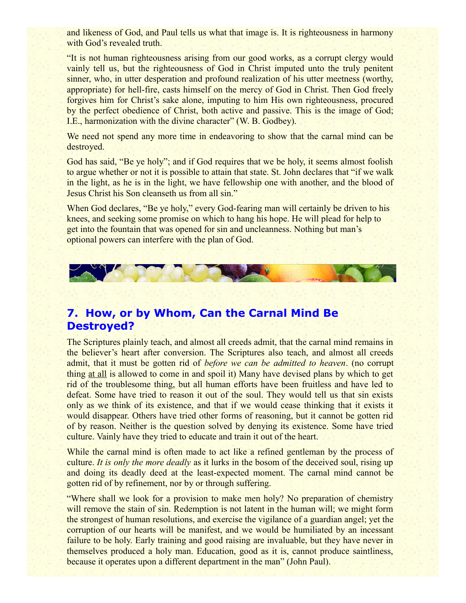and likeness of God, and Paul tells us what that image is. It is righteousness in harmony with God's revealed truth.

"It is not human righteousness arising from our good works, as a corrupt clergy would vainly tell us, but the righteousness of God in Christ imputed unto the truly penitent sinner, who, in utter desperation and profound realization of his utter meetness (worthy, appropriate) for hell-fire, casts himself on the mercy of God in Christ. Then God freely forgives him for Christ's sake alone, imputing to him His own righteousness, procured by the perfect obedience of Christ, both active and passive. This is the image of God; I.E., harmonization with the divine character" (W. B. Godbey).

We need not spend any more time in endeavoring to show that the carnal mind can be destroyed.

God has said, "Be ye holy"; and if God requires that we be holy, it seems almost foolish to argue whether or not it is possible to attain that state. St. John declares that "if we walk in the light, as he is in the light, we have fellowship one with another, and the blood of Jesus Christ his Son cleanseth us from all sin."

When God declares, "Be ye holy," every God-fearing man will certainly be driven to his knees, and seeking some promise on which to hang his hope. He will plead for help to get into the fountain that was opened for sin and uncleanness. Nothing but man's optional powers can interfere with the plan of God.



## **7. How, or by Whom, Can the Carnal Mind Be Destroyed?**

The Scriptures plainly teach, and almost all creeds admit, that the carnal mind remains in the believer's heart after conversion. The Scriptures also teach, and almost all creeds admit, that it must be gotten rid of *before we can be admitted to heaven*. (no corrupt thing at all is allowed to come in and spoil it) Many have devised plans by which to get rid of the troublesome thing, but all human efforts have been fruitless and have led to defeat. Some have tried to reason it out of the soul. They would tell us that sin exists only as we think of its existence, and that if we would cease thinking that it exists it would disappear. Others have tried other forms of reasoning, but it cannot be gotten rid of by reason. Neither is the question solved by denying its existence. Some have tried culture. Vainly have they tried to educate and train it out of the heart.

While the carnal mind is often made to act like a refined gentleman by the process of culture. *It is only the more deadly* as it lurks in the bosom of the deceived soul, rising up and doing its deadly deed at the least-expected moment. The carnal mind cannot be gotten rid of by refinement, nor by or through suffering.

"Where shall we look for a provision to make men holy? No preparation of chemistry will remove the stain of sin. Redemption is not latent in the human will; we might form the strongest of human resolutions, and exercise the vigilance of a guardian angel; yet the corruption of our hearts will be manifest, and we would be humiliated by an incessant failure to be holy. Early training and good raising are invaluable, but they have never in themselves produced a holy man. Education, good as it is, cannot produce saintliness, because it operates upon a different department in the man" (John Paul).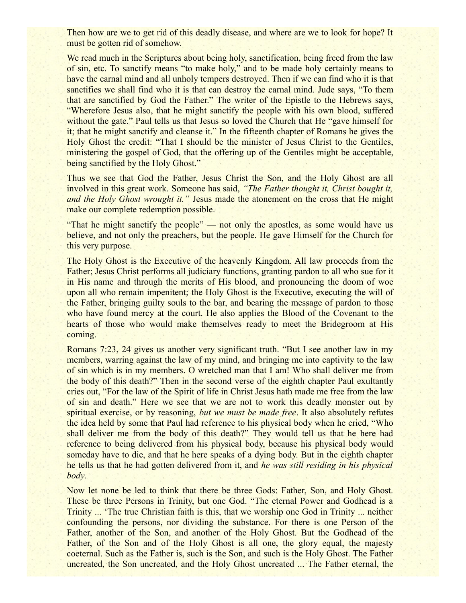Then how are we to get rid of this deadly disease, and where are we to look for hope? It must be gotten rid of somehow.

We read much in the Scriptures about being holy, sanctification, being freed from the law of sin, etc. To sanctify means "to make holy," and to be made holy certainly means to have the carnal mind and all unholy tempers destroyed. Then if we can find who it is that sanctifies we shall find who it is that can destroy the carnal mind. Jude says, "To them that are sanctified by God the Father." The writer of the Epistle to the Hebrews says, "Wherefore Jesus also, that he might sanctify the people with his own blood, suffered without the gate." Paul tells us that Jesus so loved the Church that He "gave himself for it; that he might sanctify and cleanse it." In the fifteenth chapter of Romans he gives the Holy Ghost the credit: "That I should be the minister of Jesus Christ to the Gentiles, ministering the gospel of God, that the offering up of the Gentiles might be acceptable, being sanctified by the Holy Ghost."

Thus we see that God the Father, Jesus Christ the Son, and the Holy Ghost are all involved in this great work. Someone has said, *"The Father thought it, Christ bought it, and the Holy Ghost wrought it."* Jesus made the atonement on the cross that He might make our complete redemption possible.

"That he might sanctify the people" — not only the apostles, as some would have us believe, and not only the preachers, but the people. He gave Himself for the Church for this very purpose.

The Holy Ghost is the Executive of the heavenly Kingdom. All law proceeds from the Father; Jesus Christ performs all judiciary functions, granting pardon to all who sue for it in His name and through the merits of His blood, and pronouncing the doom of woe upon all who remain impenitent; the Holy Ghost is the Executive, executing the will of the Father, bringing guilty souls to the bar, and bearing the message of pardon to those who have found mercy at the court. He also applies the Blood of the Covenant to the hearts of those who would make themselves ready to meet the Bridegroom at His coming.

Romans 7:23, 24 gives us another very significant truth. "But I see another law in my members, warring against the law of my mind, and bringing me into captivity to the law of sin which is in my members. O wretched man that I am! Who shall deliver me from the body of this death?" Then in the second verse of the eighth chapter Paul exultantly cries out, "For the law of the Spirit of life in Christ Jesus hath made me free from the law of sin and death." Here we see that we are not to work this deadly monster out by spiritual exercise, or by reasoning, *but we must be made free*. It also absolutely refutes the idea held by some that Paul had reference to his physical body when he cried, "Who shall deliver me from the body of this death?" They would tell us that he here had reference to being delivered from his physical body, because his physical body would someday have to die, and that he here speaks of a dying body. But in the eighth chapter he tells us that he had gotten delivered from it, and *he was still residing in his physical body*.

Now let none be led to think that there be three Gods: Father, Son, and Holy Ghost. These be three Persons in Trinity, but one God. "The eternal Power and Godhead is a Trinity ... 'The true Christian faith is this, that we worship one God in Trinity ... neither confounding the persons, nor dividing the substance. For there is one Person of the Father, another of the Son, and another of the Holy Ghost. But the Godhead of the Father, of the Son and of the Holy Ghost is all one, the glory equal, the majesty coeternal. Such as the Father is, such is the Son, and such is the Holy Ghost. The Father uncreated, the Son uncreated, and the Holy Ghost uncreated ... The Father eternal, the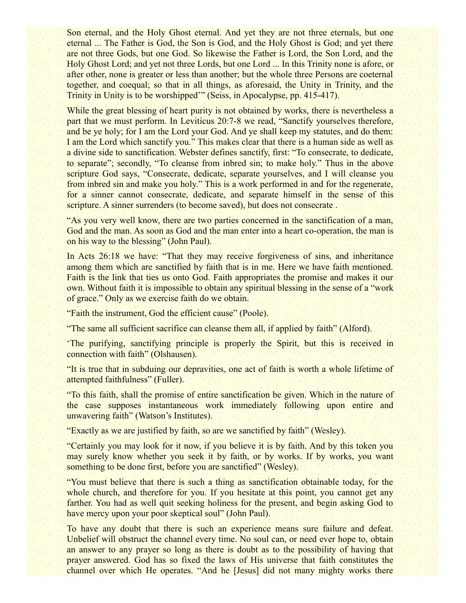Son eternal, and the Holy Ghost eternal. And yet they are not three eternals, but one eternal ... The Father is God, the Son is God, and the Holy Ghost is God; and yet there are not three Gods, but one God. So likewise the Father is Lord, the Son Lord, and the Holy Ghost Lord; and yet not three Lords, but one Lord ... In this Trinity none is afore, or after other, none is greater or less than another; but the whole three Persons are coeternal together, and coequal; so that in all things, as aforesaid, the Unity in Trinity, and the Trinity in Unity is to be worshipped'" (Seiss, in Apocalypse, pp. 415-417).

While the great blessing of heart purity is not obtained by works, there is nevertheless a part that we must perform. In Leviticus 20:7-8 we read, "Sanctify yourselves therefore, and be ye holy; for I am the Lord your God. And ye shall keep my statutes, and do them: I am the Lord which sanctify you." This makes clear that there is a human side as well as a divine side to sanctification. Webster defines sanctify, first: "To consecrate, to dedicate, to separate"; secondly, "To cleanse from inbred sin; to make holy." Thus in the above scripture God says, "Consecrate, dedicate, separate yourselves, and I will cleanse you from inbred sin and make you holy." This is a work performed in and for the regenerate, for a sinner cannot consecrate, dedicate, and separate himself in the sense of this scripture. A sinner surrenders (to become saved), but does not consecrate .

"As you very well know, there are two parties concerned in the sanctification of a man, God and the man. As soon as God and the man enter into a heart co-operation, the man is on his way to the blessing" (John Paul).

In Acts 26:18 we have: "That they may receive forgiveness of sins, and inheritance among them which are sanctified by faith that is in me. Here we have faith mentioned. Faith is the link that ties us onto God. Faith appropriates the promise and makes it our own. Without faith it is impossible to obtain any spiritual blessing in the sense of a "work of grace." Only as we exercise faith do we obtain.

"Faith the instrument, God the efficient cause" (Poole).

"The same all sufficient sacrifice can cleanse them all, if applied by faith" (Alford).

'The purifying, sanctifying principle is properly the Spirit, but this is received in connection with faith" (Olshausen).

"It is true that in subduing our depravities, one act of faith is worth a whole lifetime of attempted faithfulness" (Fuller).

"To this faith, shall the promise of entire sanctification be given. Which in the nature of the case supposes instantaneous work immediately following upon entire and unwavering faith" (Watson's Institutes).

"Exactly as we are justified by faith, so are we sanctified by faith" (Wesley).

"Certainly you may look for it now, if you believe it is by faith. And by this token you may surely know whether you seek it by faith, or by works. If by works, you want something to be done first, before you are sanctified" (Wesley).

"You must believe that there is such a thing as sanctification obtainable today, for the whole church, and therefore for you. If you hesitate at this point, you cannot get any farther. You had as well quit seeking holiness for the present, and begin asking God to have mercy upon your poor skeptical soul" (John Paul).

To have any doubt that there is such an experience means sure failure and defeat. Unbelief will obstruct the channel every time. No soul can, or need ever hope to, obtain an answer to any prayer so long as there is doubt as to the possibility of having that prayer answered. God has so fixed the laws of His universe that faith constitutes the channel over which He operates. "And he [Jesus] did not many mighty works there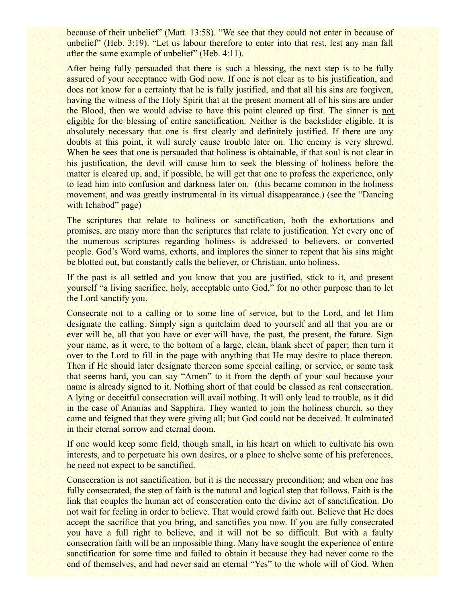because of their unbelief" (Matt. 13:58). "We see that they could not enter in because of unbelief" (Heb. 3:19). "Let us labour therefore to enter into that rest, lest any man fall after the same example of unbelief" (Heb. 4:11).

After being fully persuaded that there is such a blessing, the next step is to be fully assured of your acceptance with God now. If one is not clear as to his justification, and does not know for a certainty that he is fully justified, and that all his sins are forgiven, having the witness of the Holy Spirit that at the present moment all of his sins are under the Blood, then we would advise to have this point cleared up first. The sinner is not eligible for the blessing of entire sanctification. Neither is the backslider eligible. It is absolutely necessary that one is first clearly and definitely justified. If there are any doubts at this point, it will surely cause trouble later on. The enemy is very shrewd. When he sees that one is persuaded that holiness is obtainable, if that soul is not clear in his justification, the devil will cause him to seek the blessing of holiness before the matter is cleared up, and, if possible, he will get that one to profess the experience, only to lead him into confusion and darkness later on. (this became common in the holiness movement, and was greatly instrumental in its virtual disappearance.) (see the "Dancing with Ichabod" page)

The scriptures that relate to holiness or sanctification, both the exhortations and promises, are many more than the scriptures that relate to justification. Yet every one of the numerous scriptures regarding holiness is addressed to believers, or converted people. God's Word warns, exhorts, and implores the sinner to repent that his sins might be blotted out, but constantly calls the believer, or Christian, unto holiness.

If the past is all settled and you know that you are justified, stick to it, and present yourself "a living sacrifice, holy, acceptable unto God," for no other purpose than to let the Lord sanctify you.

Consecrate not to a calling or to some line of service, but to the Lord, and let Him designate the calling. Simply sign a quitclaim deed to yourself and all that you are or ever will be, all that you have or ever will have, the past, the present, the future. Sign your name, as it were, to the bottom of a large, clean, blank sheet of paper; then turn it over to the Lord to fill in the page with anything that He may desire to place thereon. Then if He should later designate thereon some special calling, or service, or some task that seems hard, you can say "Amen" to it from the depth of your soul because your name is already signed to it. Nothing short of that could be classed as real consecration. A lying or deceitful consecration will avail nothing. It will only lead to trouble, as it did in the case of Ananias and Sapphira. They wanted to join the holiness church, so they came and feigned that they were giving all; but God could not be deceived. It culminated in their eternal sorrow and eternal doom.

If one would keep some field, though small, in his heart on which to cultivate his own interests, and to perpetuate his own desires, or a place to shelve some of his preferences, he need not expect to be sanctified.

Consecration is not sanctification, but it is the necessary precondition; and when one has fully consecrated, the step of faith is the natural and logical step that follows. Faith is the link that couples the human act of consecration onto the divine act of sanctification. Do not wait for feeling in order to believe. That would crowd faith out. Believe that He does accept the sacrifice that you bring, and sanctifies you now. If you are fully consecrated you have a full right to believe, and it will not be so difficult. But with a faulty consecration faith will be an impossible thing. Many have sought the experience of entire sanctification for some time and failed to obtain it because they had never come to the end of themselves, and had never said an eternal "Yes" to the whole will of God. When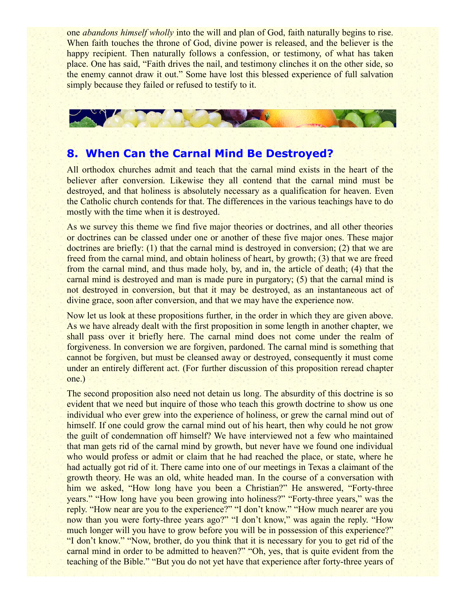one *abandons himself wholly* into the will and plan of God, faith naturally begins to rise. When faith touches the throne of God, divine power is released, and the believer is the happy recipient. Then naturally follows a confession, or testimony, of what has taken place. One has said, "Faith drives the nail, and testimony clinches it on the other side, so the enemy cannot draw it out." Some have lost this blessed experience of full salvation simply because they failed or refused to testify to it.



#### **8. When Can the Carnal Mind Be Destroyed?**

All orthodox churches admit and teach that the carnal mind exists in the heart of the believer after conversion. Likewise they all contend that the carnal mind must be destroyed, and that holiness is absolutely necessary as a qualification for heaven. Even the Catholic church contends for that. The differences in the various teachings have to do mostly with the time when it is destroyed.

As we survey this theme we find five major theories or doctrines, and all other theories or doctrines can be classed under one or another of these five major ones. These major doctrines are briefly: (1) that the carnal mind is destroyed in conversion; (2) that we are freed from the carnal mind, and obtain holiness of heart, by growth; (3) that we are freed from the carnal mind, and thus made holy, by, and in, the article of death; (4) that the carnal mind is destroyed and man is made pure in purgatory; (5) that the carnal mind is not destroyed in conversion, but that it may be destroyed, as an instantaneous act of divine grace, soon after conversion, and that we may have the experience now.

Now let us look at these propositions further, in the order in which they are given above. As we have already dealt with the first proposition in some length in another chapter, we shall pass over it briefly here. The carnal mind does not come under the realm of forgiveness. In conversion we are forgiven, pardoned. The carnal mind is something that cannot be forgiven, but must be cleansed away or destroyed, consequently it must come under an entirely different act. (For further discussion of this proposition reread chapter one.)

The second proposition also need not detain us long. The absurdity of this doctrine is so evident that we need but inquire of those who teach this growth doctrine to show us one individual who ever grew into the experience of holiness, or grew the carnal mind out of himself. If one could grow the carnal mind out of his heart, then why could he not grow the guilt of condemnation off himself? We have interviewed not a few who maintained that man gets rid of the carnal mind by growth, but never have we found one individual who would profess or admit or claim that he had reached the place, or state, where he had actually got rid of it. There came into one of our meetings in Texas a claimant of the growth theory. He was an old, white headed man. In the course of a conversation with him we asked, "How long have you been a Christian?" He answered, "Forty-three years." "How long have you been growing into holiness?" "Forty-three years," was the reply. "How near are you to the experience?" "I don't know." "How much nearer are you now than you were forty-three years ago?" "I don't know," was again the reply. "How much longer will you have to grow before you will be in possession of this experience?" "I don't know." "Now, brother, do you think that it is necessary for you to get rid of the carnal mind in order to be admitted to heaven?" "Oh, yes, that is quite evident from the teaching of the Bible." "But you do not yet have that experience after forty-three years of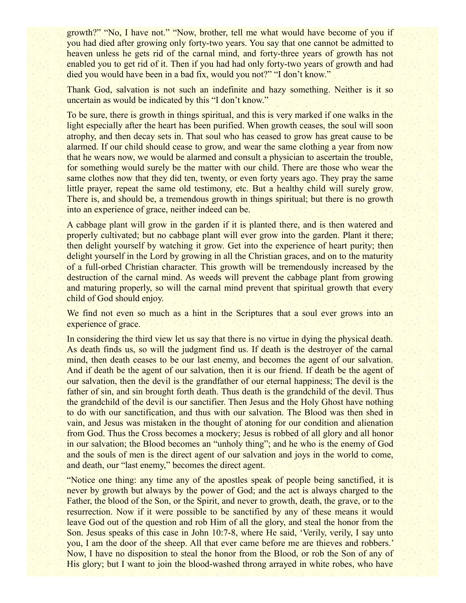growth?" "No, I have not." "Now, brother, tell me what would have become of you if you had died after growing only forty-two years. You say that one cannot be admitted to heaven unless he gets rid of the carnal mind, and forty-three years of growth has not enabled you to get rid of it. Then if you had had only forty-two years of growth and had died you would have been in a bad fix, would you not?" "I don't know."

Thank God, salvation is not such an indefinite and hazy something. Neither is it so uncertain as would be indicated by this "I don't know."

To be sure, there is growth in things spiritual, and this is very marked if one walks in the light especially after the heart has been purified. When growth ceases, the soul will soon atrophy, and then decay sets in. That soul who has ceased to grow has great cause to be alarmed. If our child should cease to grow, and wear the same clothing a year from now that he wears now, we would be alarmed and consult a physician to ascertain the trouble, for something would surely be the matter with our child. There are those who wear the same clothes now that they did ten, twenty, or even forty years ago. They pray the same little prayer, repeat the same old testimony, etc. But a healthy child will surely grow. There is, and should be, a tremendous growth in things spiritual; but there is no growth into an experience of grace, neither indeed can be.

A cabbage plant will grow in the garden if it is planted there, and is then watered and properly cultivated; but no cabbage plant will ever grow into the garden. Plant it there; then delight yourself by watching it grow. Get into the experience of heart purity; then delight yourself in the Lord by growing in all the Christian graces, and on to the maturity of a full-orbed Christian character. This growth will be tremendously increased by the destruction of the carnal mind. As weeds will prevent the cabbage plant from growing and maturing properly, so will the carnal mind prevent that spiritual growth that every child of God should enjoy.

We find not even so much as a hint in the Scriptures that a soul ever grows into an experience of grace.

In considering the third view let us say that there is no virtue in dying the physical death. As death finds us, so will the judgment find us. If death is the destroyer of the carnal mind, then death ceases to be our last enemy, and becomes the agent of our salvation. And if death be the agent of our salvation, then it is our friend. If death be the agent of our salvation, then the devil is the grandfather of our eternal happiness; The devil is the father of sin, and sin brought forth death. Thus death is the grandchild of the devil. Thus the grandchild of the devil is our sanctifier. Then Jesus and the Holy Ghost have nothing to do with our sanctification, and thus with our salvation. The Blood was then shed in vain, and Jesus was mistaken in the thought of atoning for our condition and alienation from God. Thus the Cross becomes a mockery; Jesus is robbed of all glory and all honor in our salvation; the Blood becomes an "unholy thing"; and he who is the enemy of God and the souls of men is the direct agent of our salvation and joys in the world to come, and death, our "last enemy," becomes the direct agent.

"Notice one thing: any time any of the apostles speak of people being sanctified, it is never by growth but always by the power of God; and the act is always charged to the Father, the blood of the Son, or the Spirit, and never to growth, death, the grave, or to the resurrection. Now if it were possible to be sanctified by any of these means it would leave God out of the question and rob Him of all the glory, and steal the honor from the Son. Jesus speaks of this case in John 10:7-8, where He said, 'Verily, verily, I say unto you, I am the door of the sheep. All that ever came before me are thieves and robbers.' Now, I have no disposition to steal the honor from the Blood, or rob the Son of any of His glory; but I want to join the blood-washed throng arrayed in white robes, who have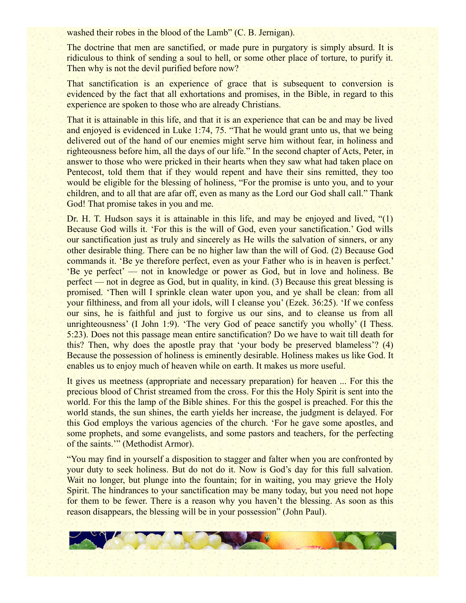washed their robes in the blood of the Lamb" (C. B. Jernigan).

The doctrine that men are sanctified, or made pure in purgatory is simply absurd. It is ridiculous to think of sending a soul to hell, or some other place of torture, to purify it. Then why is not the devil purified before now?

That sanctification is an experience of grace that is subsequent to conversion is evidenced by the fact that all exhortations and promises, in the Bible, in regard to this experience are spoken to those who are already Christians.

That it is attainable in this life, and that it is an experience that can be and may be lived and enjoyed is evidenced in Luke 1:74, 75. "That he would grant unto us, that we being delivered out of the hand of our enemies might serve him without fear, in holiness and righteousness before him, all the days of our life." In the second chapter of Acts, Peter, in answer to those who were pricked in their hearts when they saw what had taken place on Pentecost, told them that if they would repent and have their sins remitted, they too would be eligible for the blessing of holiness, "For the promise is unto you, and to your children, and to all that are afar off, even as many as the Lord our God shall call." Thank God! That promise takes in you and me.

Dr. H. T. Hudson says it is attainable in this life, and may be enjoyed and lived, "(1) Because God wills it. 'For this is the will of God, even your sanctification.' God wills our sanctification just as truly and sincerely as He wills the salvation of sinners, or any other desirable thing. There can be no higher law than the will of God. (2) Because God commands it. 'Be ye therefore perfect, even as your Father who is in heaven is perfect.' 'Be ye perfect' — not in knowledge or power as God, but in love and holiness. Be perfect — not in degree as God, but in quality, in kind. (3) Because this great blessing is promised. 'Then will I sprinkle clean water upon you, and ye shall be clean: from all your filthiness, and from all your idols, will I cleanse you' (Ezek. 36:25). 'If we confess our sins, he is faithful and just to forgive us our sins, and to cleanse us from all unrighteousness' (I John 1:9). 'The very God of peace sanctify you wholly' (I Thess. 5:23). Does not this passage mean entire sanctification? Do we have to wait till death for this? Then, why does the apostle pray that 'your body be preserved blameless'? (4) Because the possession of holiness is eminently desirable. Holiness makes us like God. It enables us to enjoy much of heaven while on earth. It makes us more useful.

It gives us meetness (appropriate and necessary preparation) for heaven ... For this the precious blood of Christ streamed from the cross. For this the Holy Spirit is sent into the world. For this the lamp of the Bible shines. For this the gospel is preached. For this the world stands, the sun shines, the earth yields her increase, the judgment is delayed. For this God employs the various agencies of the church. 'For he gave some apostles, and some prophets, and some evangelists, and some pastors and teachers, for the perfecting of the saints.'" (Methodist Armor).

"You may find in yourself a disposition to stagger and falter when you are confronted by your duty to seek holiness. But do not do it. Now is God's day for this full salvation. Wait no longer, but plunge into the fountain; for in waiting, you may grieve the Holy Spirit. The hindrances to your sanctification may be many today, but you need not hope for them to be fewer. There is a reason why you haven't the blessing. As soon as this reason disappears, the blessing will be in your possession" (John Paul).

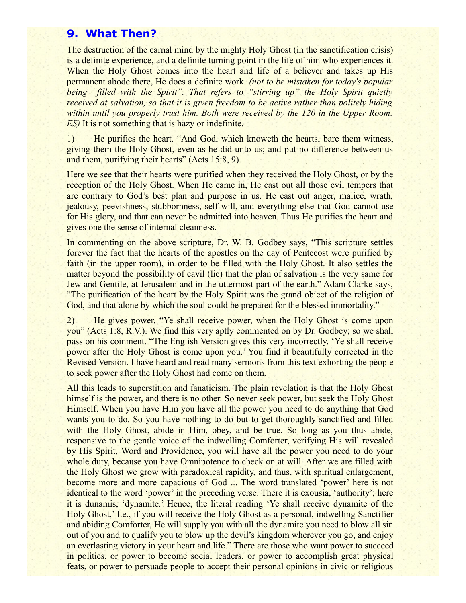### **9. What Then?**

The destruction of the carnal mind by the mighty Holy Ghost (in the sanctification crisis) is a definite experience, and a definite turning point in the life of him who experiences it. When the Holy Ghost comes into the heart and life of a believer and takes up His permanent abode there, He does a definite work. *(not to be mistaken for today's popular being "filled with the Spirit". That refers to "stirring up" the Holy Spirit quietly received at salvation, so that it is given freedom to be active rather than politely hiding within until you properly trust him. Both were received by the 120 in the Upper Room. ES)* It is not something that is hazy or indefinite.

1) He purifies the heart. "And God, which knoweth the hearts, bare them witness, giving them the Holy Ghost, even as he did unto us; and put no difference between us and them, purifying their hearts" (Acts 15:8, 9).

Here we see that their hearts were purified when they received the Holy Ghost, or by the reception of the Holy Ghost. When He came in, He cast out all those evil tempers that are contrary to God's best plan and purpose in us. He cast out anger, malice, wrath, jealousy, peevishness, stubbornness, self-will, and everything else that God cannot use for His glory, and that can never be admitted into heaven. Thus He purifies the heart and gives one the sense of internal cleanness.

In commenting on the above scripture, Dr. W. B. Godbey says, "This scripture settles forever the fact that the hearts of the apostles on the day of Pentecost were purified by faith (in the upper room), in order to be filled with the Holy Ghost. It also settles the matter beyond the possibility of cavil (lie) that the plan of salvation is the very same for Jew and Gentile, at Jerusalem and in the uttermost part of the earth." Adam Clarke says, "The purification of the heart by the Holy Spirit was the grand object of the religion of God, and that alone by which the soul could be prepared for the blessed immortality."

2) He gives power. "Ye shall receive power, when the Holy Ghost is come upon you" (Acts 1:8, R.V.). We find this very aptly commented on by Dr. Godbey; so we shall pass on his comment. "The English Version gives this very incorrectly. 'Ye shall receive power after the Holy Ghost is come upon you.' You find it beautifully corrected in the Revised Version. I have heard and read many sermons from this text exhorting the people to seek power after the Holy Ghost had come on them.

All this leads to superstition and fanaticism. The plain revelation is that the Holy Ghost himself is the power, and there is no other. So never seek power, but seek the Holy Ghost Himself. When you have Him you have all the power you need to do anything that God wants you to do. So you have nothing to do but to get thoroughly sanctified and filled with the Holy Ghost, abide in Him, obey, and be true. So long as you thus abide, responsive to the gentle voice of the indwelling Comforter, verifying His will revealed by His Spirit, Word and Providence, you will have all the power you need to do your whole duty, because you have Omnipotence to check on at will. After we are filled with the Holy Ghost we grow with paradoxical rapidity, and thus, with spiritual enlargement, become more and more capacious of God ... The word translated 'power' here is not identical to the word 'power' in the preceding verse. There it is exousia, 'authority'; here it is dunamis, 'dynamite.' Hence, the literal reading 'Ye shall receive dynamite of the Holy Ghost,' I.e., if you will receive the Holy Ghost as a personal, indwelling Sanctifier and abiding Comforter, He will supply you with all the dynamite you need to blow all sin out of you and to qualify you to blow up the devil's kingdom wherever you go, and enjoy an everlasting victory in your heart and life." There are those who want power to succeed in politics, or power to become social leaders, or power to accomplish great physical feats, or power to persuade people to accept their personal opinions in civic or religious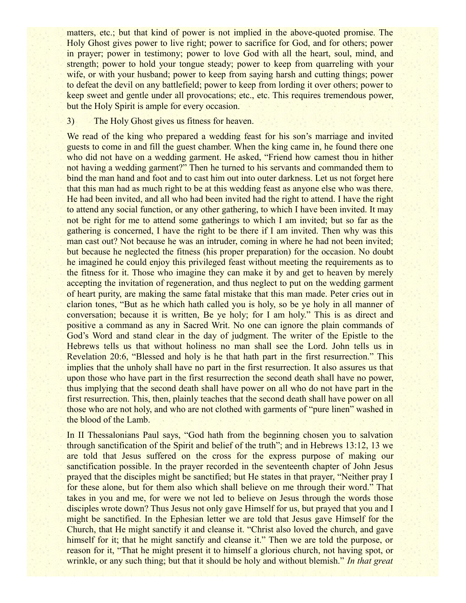matters, etc.; but that kind of power is not implied in the above-quoted promise. The Holy Ghost gives power to live right; power to sacrifice for God, and for others; power in prayer; power in testimony; power to love God with all the heart, soul, mind, and strength; power to hold your tongue steady; power to keep from quarreling with your wife, or with your husband; power to keep from saying harsh and cutting things; power to defeat the devil on any battlefield; power to keep from lording it over others; power to keep sweet and gentle under all provocations; etc., etc. This requires tremendous power, but the Holy Spirit is ample for every occasion.

#### 3) The Holy Ghost gives us fitness for heaven.

We read of the king who prepared a wedding feast for his son's marriage and invited guests to come in and fill the guest chamber. When the king came in, he found there one who did not have on a wedding garment. He asked, "Friend how camest thou in hither not having a wedding garment?" Then he turned to his servants and commanded them to bind the man hand and foot and to cast him out into outer darkness. Let us not forget here that this man had as much right to be at this wedding feast as anyone else who was there. He had been invited, and all who had been invited had the right to attend. I have the right to attend any social function, or any other gathering, to which I have been invited. It may not be right for me to attend some gatherings to which I am invited; but so far as the gathering is concerned, I have the right to be there if I am invited. Then why was this man cast out? Not because he was an intruder, coming in where he had not been invited; but because he neglected the fitness (his proper preparation) for the occasion. No doubt he imagined he could enjoy this privileged feast without meeting the requirements as to the fitness for it. Those who imagine they can make it by and get to heaven by merely accepting the invitation of regeneration, and thus neglect to put on the wedding garment of heart purity, are making the same fatal mistake that this man made. Peter cries out in clarion tones, "But as he which hath called you is holy, so be ye holy in all manner of conversation; because it is written, Be ye holy; for I am holy." This is as direct and positive a command as any in Sacred Writ. No one can ignore the plain commands of God's Word and stand clear in the day of judgment. The writer of the Epistle to the Hebrews tells us that without holiness no man shall see the Lord. John tells us in Revelation 20:6, "Blessed and holy is he that hath part in the first resurrection." This implies that the unholy shall have no part in the first resurrection. It also assures us that upon those who have part in the first resurrection the second death shall have no power, thus implying that the second death shall have power on all who do not have part in the first resurrection. This, then, plainly teaches that the second death shall have power on all those who are not holy, and who are not clothed with garments of "pure linen" washed in the blood of the Lamb.

In II Thessalonians Paul says, "God hath from the beginning chosen you to salvation through sanctification of the Spirit and belief of the truth"; and in Hebrews 13:12, 13 we are told that Jesus suffered on the cross for the express purpose of making our sanctification possible. In the prayer recorded in the seventeenth chapter of John Jesus prayed that the disciples might be sanctified; but He states in that prayer, "Neither pray I for these alone, but for them also which shall believe on me through their word." That takes in you and me, for were we not led to believe on Jesus through the words those disciples wrote down? Thus Jesus not only gave Himself for us, but prayed that you and I might be sanctified. In the Ephesian letter we are told that Jesus gave Himself for the Church, that He might sanctify it and cleanse it. "Christ also loved the church, and gave himself for it; that he might sanctify and cleanse it." Then we are told the purpose, or reason for it, "That he might present it to himself a glorious church, not having spot, or wrinkle, or any such thing; but that it should be holy and without blemish." *In that great*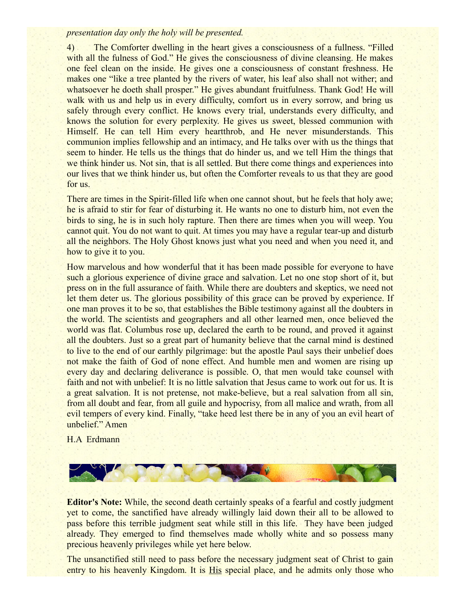#### *presentation day only the holy will be presented.*

4) The Comforter dwelling in the heart gives a consciousness of a fullness. "Filled with all the fulness of God." He gives the consciousness of divine cleansing. He makes one feel clean on the inside. He gives one a consciousness of constant freshness. He makes one "like a tree planted by the rivers of water, his leaf also shall not wither; and whatsoever he doeth shall prosper." He gives abundant fruitfulness. Thank God! He will walk with us and help us in every difficulty, comfort us in every sorrow, and bring us safely through every conflict. He knows every trial, understands every difficulty, and knows the solution for every perplexity. He gives us sweet, blessed communion with Himself. He can tell Him every heartthrob, and He never misunderstands. This communion implies fellowship and an intimacy, and He talks over with us the things that seem to hinder. He tells us the things that do hinder us, and we tell Him the things that we think hinder us. Not sin, that is all settled. But there come things and experiences into our lives that we think hinder us, but often the Comforter reveals to us that they are good for us.

There are times in the Spirit-filled life when one cannot shout, but he feels that holy awe; he is afraid to stir for fear of disturbing it. He wants no one to disturb him, not even the birds to sing, he is in such holy rapture. Then there are times when you will weep. You cannot quit. You do not want to quit. At times you may have a regular tear-up and disturb all the neighbors. The Holy Ghost knows just what you need and when you need it, and how to give it to you.

How marvelous and how wonderful that it has been made possible for everyone to have such a glorious experience of divine grace and salvation. Let no one stop short of it, but press on in the full assurance of faith. While there are doubters and skeptics, we need not let them deter us. The glorious possibility of this grace can be proved by experience. If one man proves it to be so, that establishes the Bible testimony against all the doubters in the world. The scientists and geographers and all other learned men, once believed the world was flat. Columbus rose up, declared the earth to be round, and proved it against all the doubters. Just so a great part of humanity believe that the carnal mind is destined to live to the end of our earthly pilgrimage: but the apostle Paul says their unbelief does not make the faith of God of none effect. And humble men and women are rising up every day and declaring deliverance is possible. O, that men would take counsel with faith and not with unbelief: It is no little salvation that Jesus came to work out for us. It is a great salvation. It is not pretense, not make-believe, but a real salvation from all sin, from all doubt and fear, from all guile and hypocrisy, from all malice and wrath, from all evil tempers of every kind. Finally, "take heed lest there be in any of you an evil heart of unbelief." Amen

H.A Erdmann



**Editor's Note:** While, the second death certainly speaks of a fearful and costly judgment yet to come, the sanctified have already willingly laid down their all to be allowed to pass before this terrible judgment seat while still in this life. They have been judged already. They emerged to find themselves made wholly white and so possess many precious heavenly privileges while yet here below.

The unsanctified still need to pass before the necessary judgment seat of Christ to gain entry to his heavenly Kingdom. It is His special place, and he admits only those who